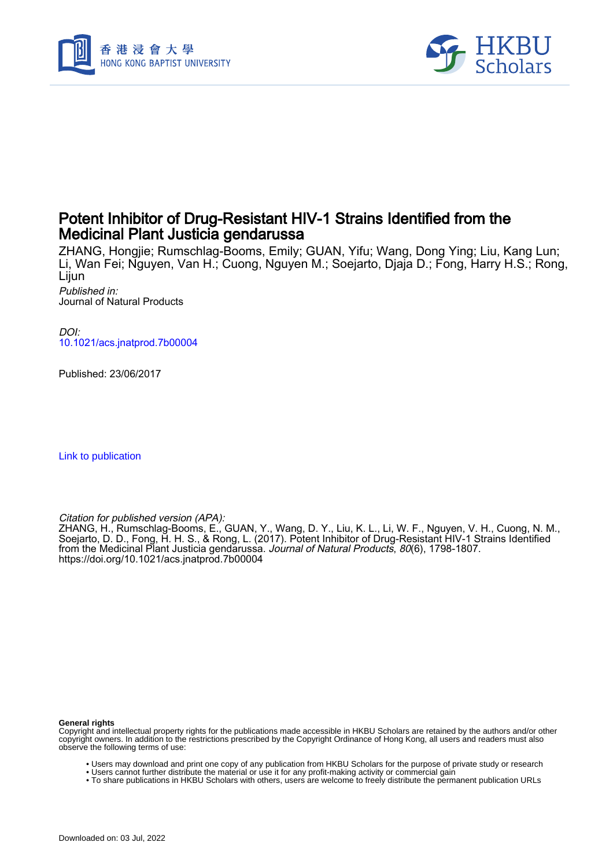



## Potent Inhibitor of Drug-Resistant HIV-1 Strains Identified from the Medicinal Plant Justicia gendarussa

ZHANG, Hongjie; Rumschlag-Booms, Emily; GUAN, Yifu; Wang, Dong Ying; Liu, Kang Lun; Li, Wan Fei; Nguyen, Van H.; Cuong, Nguyen M.; Soejarto, Djaja D.; Fong, Harry H.S.; Rong, Lijun Published in:

Journal of Natural Products

DOI: [10.1021/acs.jnatprod.7b00004](https://doi.org/10.1021/acs.jnatprod.7b00004)

Published: 23/06/2017

[Link to publication](https://scholars.hkbu.edu.hk/en/publications/3ecd124b-cc99-4896-b654-6f22457c0f02)

Citation for published version (APA):

ZHANG, H., Rumschlag-Booms, E., GUAN, Y., Wang, D. Y., Liu, K. L., Li, W. F., Nguyen, V. H., Cuong, N. M., Soejarto, D. D., Fong, H. H. S., & Rong, L. (2017). Potent Inhibitor of Drug-Resistant HIV-1 Strains Identified from the Medicinal Plant Justicia gendarussa. *Journal of Natural Products, 80*(6), 1798-1807. <https://doi.org/10.1021/acs.jnatprod.7b00004>

#### **General rights**

Copyright and intellectual property rights for the publications made accessible in HKBU Scholars are retained by the authors and/or other copyright owners. In addition to the restrictions prescribed by the Copyright Ordinance of Hong Kong, all users and readers must also observe the following terms of use:

- Users may download and print one copy of any publication from HKBU Scholars for the purpose of private study or research
- Users cannot further distribute the material or use it for any profit-making activity or commercial gain • To share publications in HKBU Scholars with others, users are welcome to freely distribute the permanent publication URLs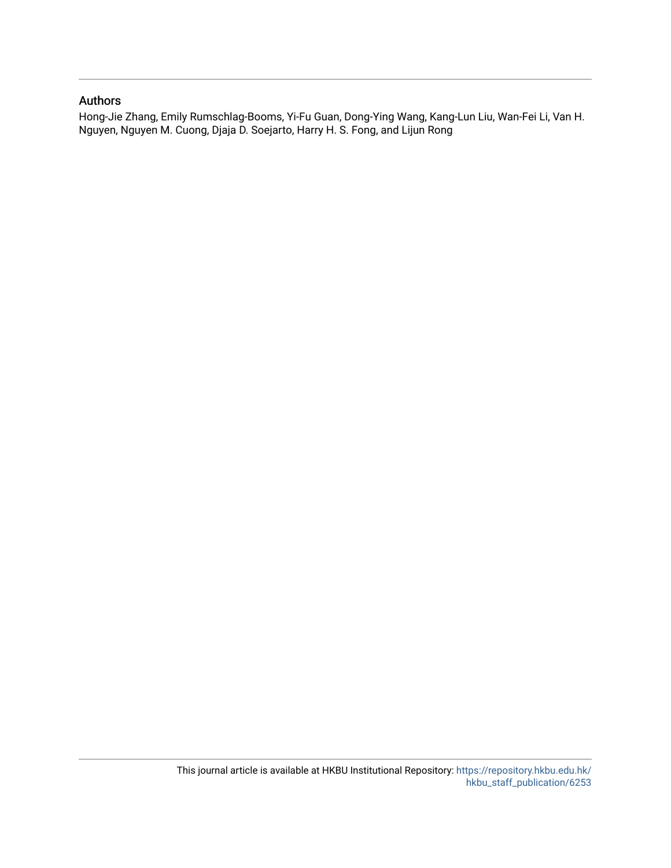### Authors

Hong-Jie Zhang, Emily Rumschlag-Booms, Yi-Fu Guan, Dong-Ying Wang, Kang-Lun Liu, Wan-Fei Li, Van H. Nguyen, Nguyen M. Cuong, Djaja D. Soejarto, Harry H. S. Fong, and Lijun Rong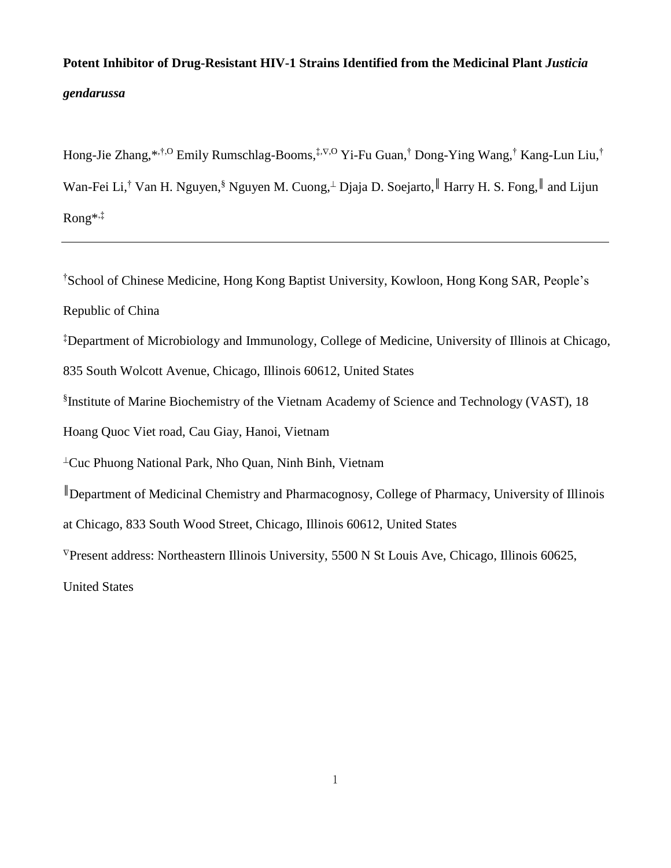# **Potent Inhibitor of Drug-Resistant HIV-1 Strains Identified from the Medicinal Plant** *Justicia gendarussa*

Hong-Jie Zhang,\*<sup>,†,O</sup> Emily Rumschlag-Booms,<sup>‡,⊽,O</sup> Yi-Fu Guan,<sup>†</sup> Dong-Ying Wang,<sup>†</sup> Kang-Lun Liu,<sup>†</sup> Wan-Fei Li,<sup>†</sup> Van H. Nguyen,<sup>§</sup> Nguyen M. Cuong,<sup>⊥</sup> Djaja D. Soejarto, Harry H. S. Fong, Hand Lijun Rong\* ,‡

†School of Chinese Medicine, Hong Kong Baptist University, Kowloon, Hong Kong SAR, People's Republic of China

‡Department of Microbiology and Immunology, College of Medicine, University of Illinois at Chicago,

835 South Wolcott Avenue, Chicago, Illinois 60612, United States

§ Institute of Marine Biochemistry of the Vietnam Academy of Science and Technology (VAST), 18

Hoang Quoc Viet road, Cau Giay, Hanoi, Vietnam

 $\perp$ Cuc Phuong National Park, Nho Quan, Ninh Binh, Vietnam

║Department of Medicinal Chemistry and Pharmacognosy, College of Pharmacy, University of Illinois

at Chicago, 833 South Wood Street, Chicago, Illinois 60612, United States

 $\nabla$ Present address: Northeastern Illinois University, 5500 N St Louis Ave, Chicago, Illinois 60625,

United States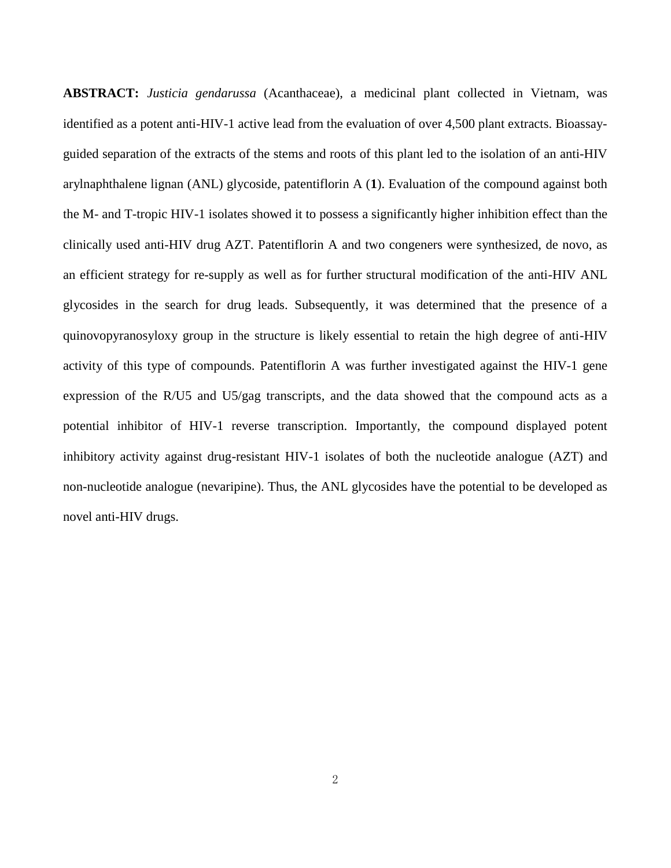**ABSTRACT:** *Justicia gendarussa* (Acanthaceae), a medicinal plant collected in Vietnam, was identified as a potent anti-HIV-1 active lead from the evaluation of over 4,500 plant extracts. Bioassayguided separation of the extracts of the stems and roots of this plant led to the isolation of an anti-HIV arylnaphthalene lignan (ANL) glycoside, patentiflorin A (**1**). Evaluation of the compound against both the M- and T-tropic HIV-1 isolates showed it to possess a significantly higher inhibition effect than the clinically used anti-HIV drug AZT. Patentiflorin A and two congeners were synthesized, de novo, as an efficient strategy for re-supply as well as for further structural modification of the anti-HIV ANL glycosides in the search for drug leads. Subsequently, it was determined that the presence of a quinovopyranosyloxy group in the structure is likely essential to retain the high degree of anti-HIV activity of this type of compounds. Patentiflorin A was further investigated against the HIV-1 gene expression of the R/U5 and U5/gag transcripts, and the data showed that the compound acts as a potential inhibitor of HIV-1 reverse transcription. Importantly, the compound displayed potent inhibitory activity against drug-resistant HIV-1 isolates of both the nucleotide analogue (AZT) and non-nucleotide analogue (nevaripine). Thus, the ANL glycosides have the potential to be developed as novel anti-HIV drugs.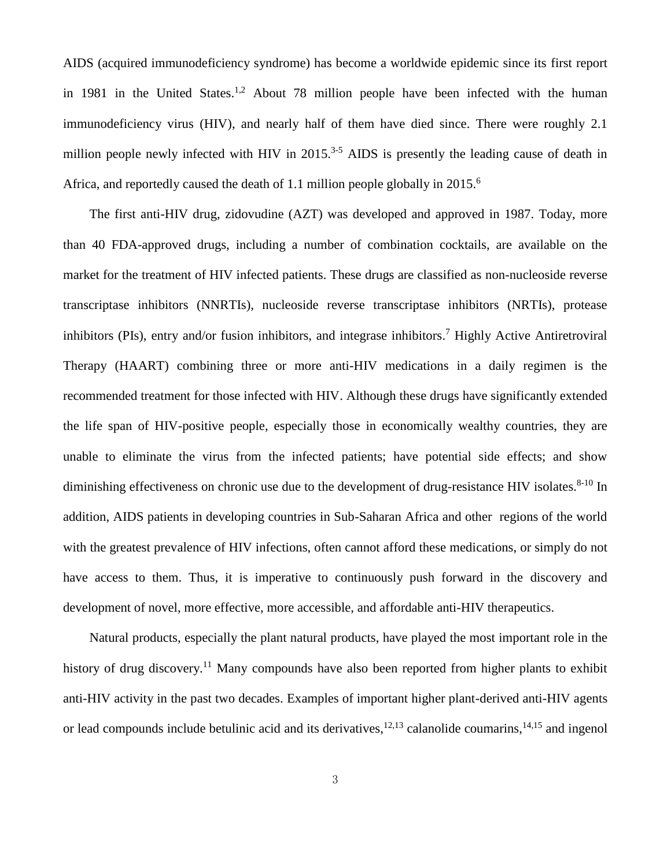AIDS (acquired immunodeficiency syndrome) has become a worldwide epidemic since its first report in 1981 in the United States.<sup>1,2</sup> About 78 million people have been infected with the human immunodeficiency virus (HIV), and nearly half of them have died since. There were roughly 2.1 million people newly infected with HIV in  $2015$ .<sup>3-5</sup> AIDS is presently the leading cause of death in Africa, and reportedly caused the death of 1.1 million people globally in 2015.<sup>6</sup>

The first anti-HIV drug, zidovudine (AZT) was developed and approved in 1987. Today, more than 40 FDA-approved drugs, including a number of combination cocktails, are available on the market for the treatment of HIV infected patients. These drugs are classified as non-nucleoside reverse transcriptase inhibitors (NNRTIs), nucleoside reverse transcriptase inhibitors (NRTIs), protease inhibitors (PIs), entry and/or fusion inhibitors, and integrase inhibitors. <sup>7</sup> Highly Active Antiretroviral Therapy (HAART) combining three or more anti-HIV medications in a daily regimen is the recommended treatment for those infected with HIV. Although these drugs have significantly extended the life span of HIV-positive people, especially those in economically wealthy countries, they are unable to eliminate the virus from the infected patients; have potential side effects; and show diminishing effectiveness on chronic use due to the development of drug-resistance HIV isolates. $8-10$  In addition, AIDS patients in developing countries in Sub-Saharan Africa and other regions of the world with the greatest prevalence of HIV infections, often cannot afford these medications, or simply do not have access to them. Thus, it is imperative to continuously push forward in the discovery and development of novel, more effective, more accessible, and affordable anti-HIV therapeutics.

Natural products, especially the plant natural products, have played the most important role in the history of drug discovery.<sup>11</sup> Many compounds have also been reported from higher plants to exhibit anti-HIV activity in the past two decades. Examples of important higher plant-derived anti-HIV agents or lead compounds include betulinic acid and its derivatives,  $12,13$  calanolide coumarins,  $14,15$  and ingenol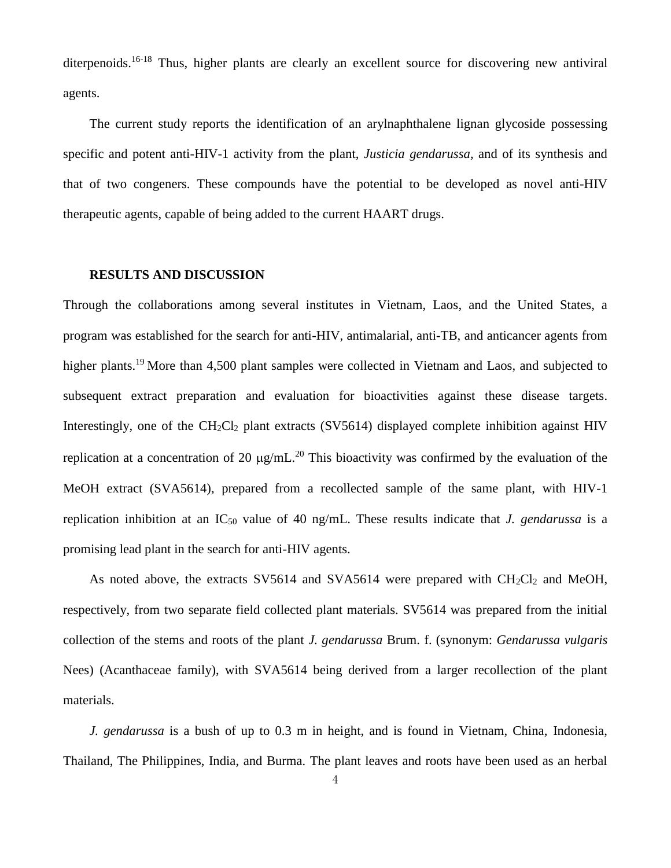diterpenoids.<sup>16-18</sup> Thus, higher plants are clearly an excellent source for discovering new antiviral agents.

The current study reports the identification of an arylnaphthalene lignan glycoside possessing specific and potent anti-HIV-1 activity from the plant, *Justicia gendarussa,* and of its synthesis and that of two congeners. These compounds have the potential to be developed as novel anti-HIV therapeutic agents, capable of being added to the current HAART drugs.

#### **RESULTS AND DISCUSSION**

Through the collaborations among several institutes in Vietnam, Laos, and the United States, a program was established for the search for anti-HIV, antimalarial, anti-TB, and anticancer agents from higher plants.<sup>19</sup> More than 4,500 plant samples were collected in Vietnam and Laos, and subjected to subsequent extract preparation and evaluation for bioactivities against these disease targets. Interestingly, one of the  $CH_2Cl_2$  plant extracts (SV5614) displayed complete inhibition against HIV replication at a concentration of 20  $\mu$ g/mL.<sup>20</sup> This bioactivity was confirmed by the evaluation of the MeOH extract (SVA5614), prepared from a recollected sample of the same plant, with HIV-1 replication inhibition at an IC<sup>50</sup> value of 40 ng/mL. These results indicate that *J. gendarussa* is a promising lead plant in the search for anti-HIV agents.

As noted above, the extracts SV5614 and SVA5614 were prepared with  $CH_2Cl_2$  and MeOH, respectively, from two separate field collected plant materials. SV5614 was prepared from the initial collection of the stems and roots of the plant *J. gendarussa* Brum. f. (synonym: *Gendarussa vulgaris* Nees) (Acanthaceae family), with SVA5614 being derived from a larger recollection of the plant materials.

*J. gendarussa* is a bush of up to 0.3 m in height, and is found in Vietnam, China, Indonesia, Thailand, The Philippines, India, and Burma. The plant leaves and roots have been used as an herbal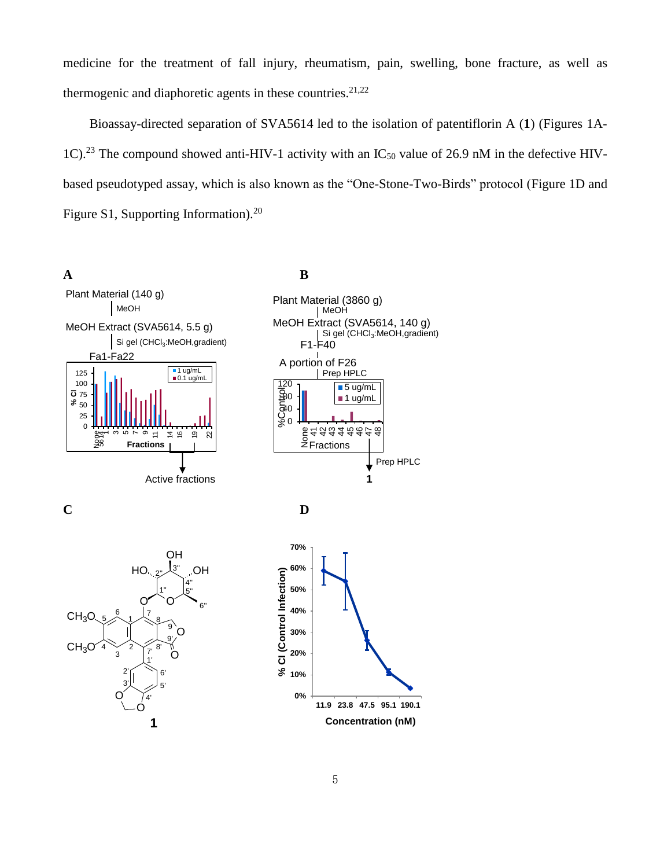medicine for the treatment of fall injury, rheumatism, pain, swelling, bone fracture, as well as thermogenic and diaphoretic agents in these countries.<sup>21,22</sup>

Bioassay-directed separation of SVA5614 led to the isolation of patentiflorin A (**1**) (Figures 1A-1C).<sup>23</sup> The compound showed anti-HIV-1 activity with an IC<sub>50</sub> value of 26.9 nM in the defective HIVbased pseudotyped assay, which is also known as the "One-Stone-Two-Birds" protocol (Figure 1D and Figure S1, Supporting Information).<sup>20</sup>



**1**

**Concentration (nM)**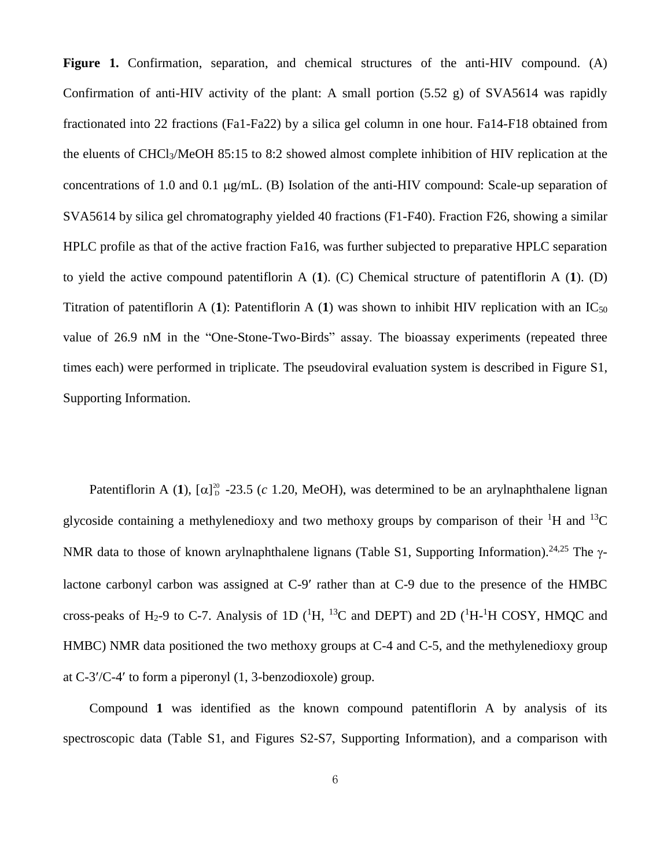Figure 1. Confirmation, separation, and chemical structures of the anti-HIV compound. (A) Confirmation of anti-HIV activity of the plant: A small portion (5.52 g) of SVA5614 was rapidly fractionated into 22 fractions (Fa1-Fa22) by a silica gel column in one hour. Fa14-F18 obtained from the eluents of CHCl3/MeOH 85:15 to 8:2 showed almost complete inhibition of HIV replication at the concentrations of 1.0 and 0.1  $\mu$ g/mL. (B) Isolation of the anti-HIV compound: Scale-up separation of SVA5614 by silica gel chromatography yielded 40 fractions (F1-F40). Fraction F26, showing a similar HPLC profile as that of the active fraction Fa16, was further subjected to preparative HPLC separation to yield the active compound patentiflorin A (**1**). (C) Chemical structure of patentiflorin A (**1**). (D) Titration of patentiflorin A (1): Patentiflorin A (1) was shown to inhibit HIV replication with an  $IC_{50}$ value of 26.9 nM in the "One-Stone-Two-Birds" assay. The bioassay experiments (repeated three times each) were performed in triplicate. The pseudoviral evaluation system is described in Figure S1, Supporting Information.

Patentiflorin A (1),  $[\alpha]_D^{20}$  -23.5 (*c* 1.20, MeOH), was determined to be an arylnaphthalene lignan glycoside containing a methylenedioxy and two methoxy groups by comparison of their  ${}^{1}H$  and  ${}^{13}C$ NMR data to those of known arylnaphthalene lignans (Table S1, Supporting Information).<sup>24,25</sup> The  $\gamma$ lactone carbonyl carbon was assigned at C-9 rather than at C-9 due to the presence of the HMBC cross-peaks of H<sub>2</sub>-9 to C-7. Analysis of 1D ( ${}^{1}H$ ,  ${}^{13}C$  and DEPT) and 2D ( ${}^{1}H$ - ${}^{1}H$  COSY, HMQC and HMBC) NMR data positioned the two methoxy groups at C-4 and C-5, and the methylenedioxy group at  $C-3'/C-4'$  to form a piperonyl  $(1, 3$ -benzodioxole) group.

Compound **1** was identified as the known compound patentiflorin A by analysis of its spectroscopic data (Table S1, and Figures S2-S7, Supporting Information), and a comparison with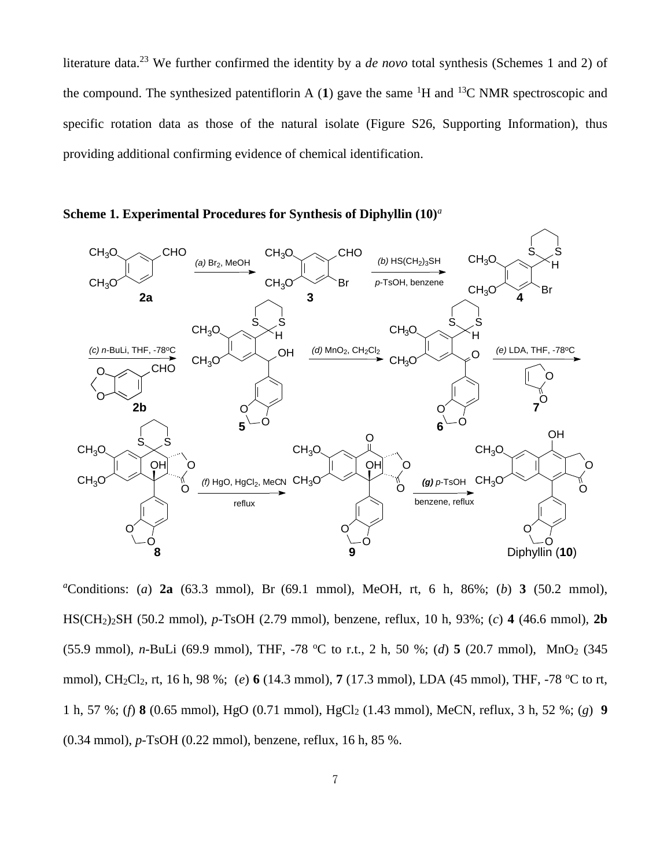literature data. <sup>23</sup> We further confirmed the identity by a *de novo* total synthesis (Schemes 1 and 2) of the compound. The synthesized patentiflorin A (1) gave the same <sup>1</sup>H and <sup>13</sup>C NMR spectroscopic and specific rotation data as those of the natural isolate (Figure S26, Supporting Information), thus providing additional confirming evidence of chemical identification.



**Scheme 1. Experimental Procedures for Synthesis of Diphyllin (10)***<sup>a</sup>*

*<sup>a</sup>*Conditions: (*a*) **2a** (63.3 mmol), Br (69.1 mmol), MeOH, rt, 6 h, 86%; (*b*) **3** (50.2 mmol), HS(CH2)2SH (50.2 mmol), *p*-TsOH (2.79 mmol), benzene, reflux, 10 h, 93%; (*c*) **4** (46.6 mmol), **2b** (55.9 mmol), *n*-BuLi (69.9 mmol), THF, -78 °C to r.t., 2 h, 50 %; (*d*) 5 (20.7 mmol), MnO<sub>2</sub> (345) mmol), CH<sub>2</sub>Cl<sub>2</sub>, rt, 16 h, 98 %; (*e*) 6 (14.3 mmol), 7 (17.3 mmol), LDA (45 mmol), THF, -78 °C to rt, 1 h, 57 %; (*f*) **8** (0.65 mmol), HgO (0.71 mmol), HgCl<sup>2</sup> (1.43 mmol), MeCN, reflux, 3 h, 52 %; (*g*) **9** (0.34 mmol), *p*-TsOH (0.22 mmol), benzene, reflux, 16 h, 85 %.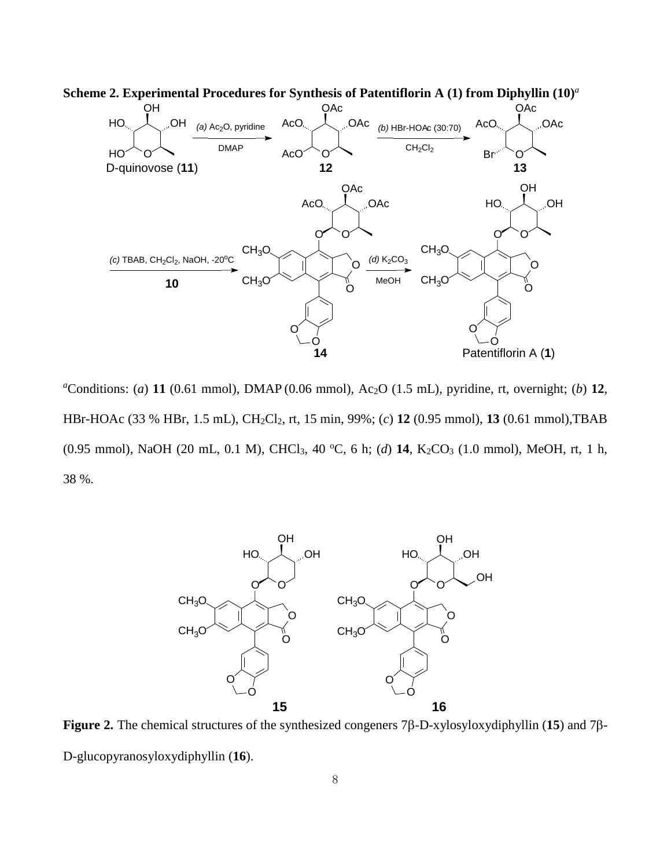

<sup>*a*</sup>Conditions: (*a*) **11** (0.61 mmol), DMAP (0.06 mmol), Ac<sub>2</sub>O (1.5 mL), pyridine, rt, overnight; (*b*) **12**, HBr-HOAc (33 % HBr, 1.5 mL), CH2Cl2, rt, 15 min, 99%; (*c*) **12** (0.95 mmol), **13** (0.61 mmol),TBAB (0.95 mmol), NaOH (20 mL, 0.1 M), CHCl<sub>3</sub>, 40 °C, 6 h; (d) 14, K<sub>2</sub>CO<sub>3</sub> (1.0 mmol), MeOH, rt, 1 h, 38 %.



**Figure 2.** The chemical structures of the synthesized congeners  $7\beta$ -D-xylosyloxydiphyllin (15) and  $7\beta$ -D-glucopyranosyloxydiphyllin (**16**).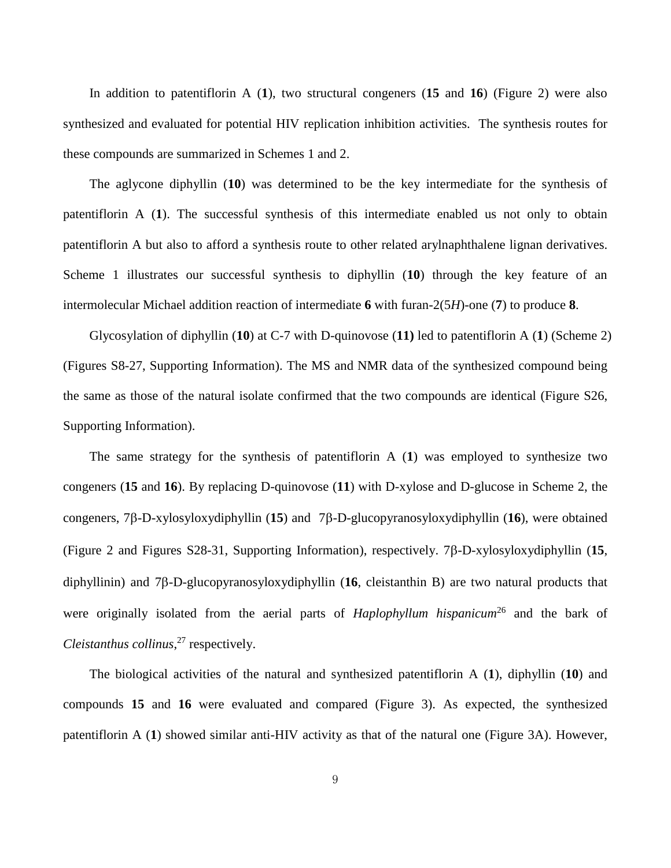In addition to patentiflorin A (**1**), two structural congeners (**15** and **16**) (Figure 2) were also synthesized and evaluated for potential HIV replication inhibition activities. The synthesis routes for these compounds are summarized in Schemes 1 and 2.

The aglycone diphyllin (**10**) was determined to be the key intermediate for the synthesis of patentiflorin A (**1**). The successful synthesis of this intermediate enabled us not only to obtain patentiflorin A but also to afford a synthesis route to other related arylnaphthalene lignan derivatives. Scheme 1 illustrates our successful synthesis to diphyllin (**10**) through the key feature of an intermolecular Michael addition reaction of intermediate **6** with furan-2(5*H*)-one (**7**) to produce **8**.

Glycosylation of diphyllin (**10**) at C-7 with D-quinovose (**11)** led to patentiflorin A (**1**) (Scheme 2) (Figures S8-27, Supporting Information). The MS and NMR data of the synthesized compound being the same as those of the natural isolate confirmed that the two compounds are identical (Figure S26, Supporting Information).

The same strategy for the synthesis of patentiflorin A (**1**) was employed to synthesize two congeners (**15** and **16**). By replacing D-quinovose (**11**) with D-xylose and D-glucose in Scheme 2, the congeners,  $7\beta$ -D-xylosyloxydiphyllin (15) and  $7\beta$ -D-glucopyranosyloxydiphyllin (16), were obtained (Figure 2 and Figures S28-31, Supporting Information), respectively.  $7\beta$ -D-xylosyloxydiphyllin (15, diphyllinin) and  $7\beta$ -D-glucopyranosyloxydiphyllin (16, cleistanthin B) are two natural products that were originally isolated from the aerial parts of *Haplophyllum hispanicum*<sup>26</sup> and the bark of *Cleistanthus collinus*, <sup>27</sup> respectively.

The biological activities of the natural and synthesized patentiflorin A (**1**), diphyllin (**10**) and compounds **15** and **16** were evaluated and compared (Figure 3). As expected, the synthesized patentiflorin A (**1**) showed similar anti-HIV activity as that of the natural one (Figure 3A). However,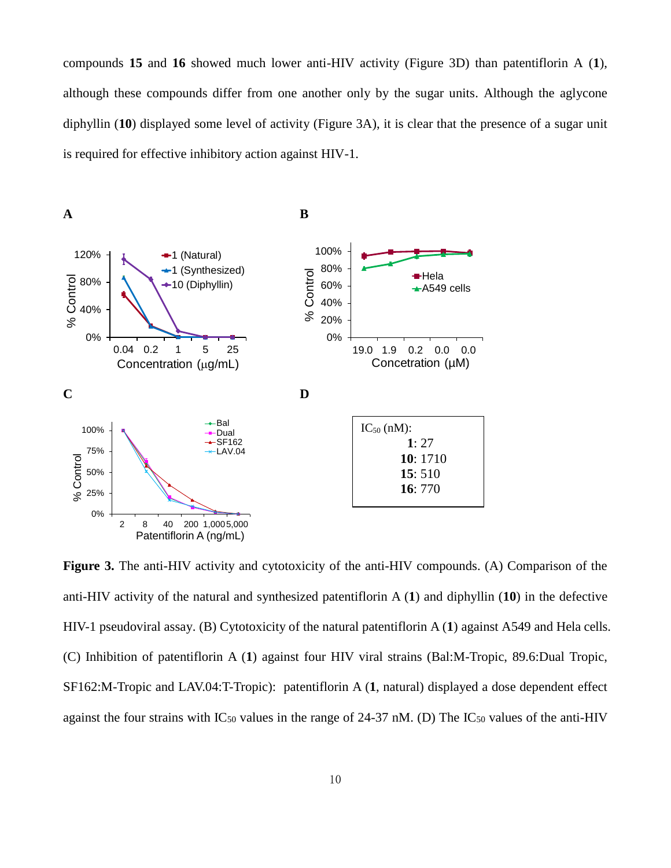compounds **15** and **16** showed much lower anti-HIV activity (Figure 3D) than patentiflorin A (**1**), although these compounds differ from one another only by the sugar units. Although the aglycone diphyllin (**10**) displayed some level of activity (Figure 3A), it is clear that the presence of a sugar unit is required for effective inhibitory action against HIV-1.



**Figure 3.** The anti-HIV activity and cytotoxicity of the anti-HIV compounds. (A) Comparison of the anti-HIV activity of the natural and synthesized patentiflorin A (**1**) and diphyllin (**10**) in the defective HIV-1 pseudoviral assay. (B) Cytotoxicity of the natural patentiflorin A (**1**) against A549 and Hela cells. (C) Inhibition of patentiflorin A (**1**) against four HIV viral strains (Bal:M-Tropic, 89.6:Dual Tropic, SF162:M-Tropic and LAV.04:T-Tropic): patentiflorin A (**1**, natural) displayed a dose dependent effect against the four strains with  $IC_{50}$  values in the range of 24-37 nM. (D) The  $IC_{50}$  values of the anti-HIV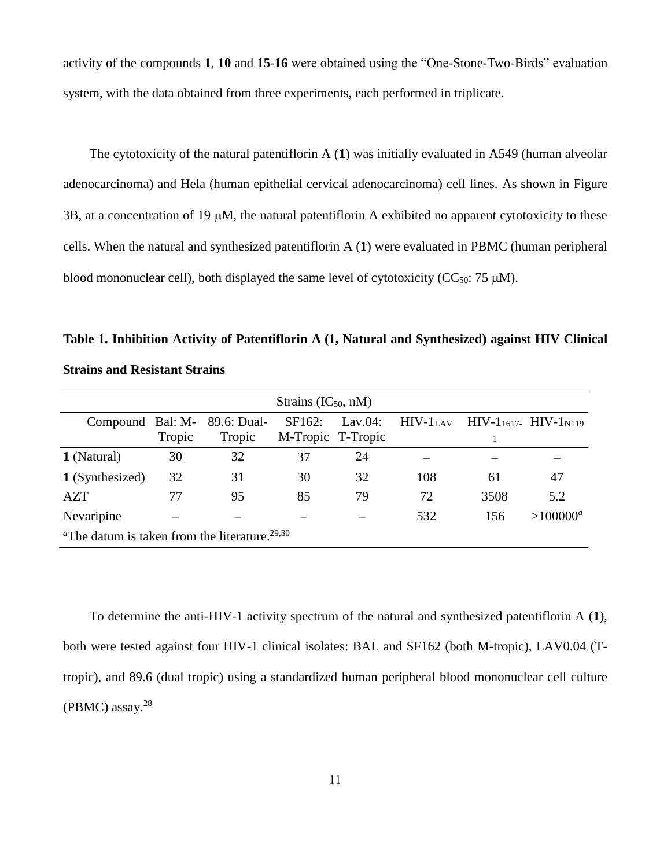activity of the compounds **1**, **10** and **15**-**16** were obtained using the "One-Stone-Two-Birds" evaluation system, with the data obtained from three experiments, each performed in triplicate.

The cytotoxicity of the natural patentiflorin A (**1**) was initially evaluated in A549 (human alveolar adenocarcinoma) and Hela (human epithelial cervical adenocarcinoma) cell lines. As shown in Figure  $3B$ , at a concentration of 19  $\mu$ M, the natural patentiflorin A exhibited no apparent cytotoxicity to these cells. When the natural and synthesized patentiflorin A (**1**) were evaluated in PBMC (human peripheral blood mononuclear cell), both displayed the same level of cytotoxicity ( $CC_{50}$ : 75  $\mu$ M).

**Table 1. Inhibition Activity of Patentiflorin A (1, Natural and Synthesized) against HIV Clinical Strains and Resistant Strains**

| Strains $(IC_{50}, nM)$                                                    |        |             |                     |             |            |      |                               |
|----------------------------------------------------------------------------|--------|-------------|---------------------|-------------|------------|------|-------------------------------|
| Compound Bal: M-                                                           |        | 89.6: Dual- | SF <sub>162</sub> : | Lav. $04$ : | $HIV-1LAV$ |      | $HIV-1_{1617}$ $HIV-1_{N119}$ |
|                                                                            | Tropic | Tropic      | M-Tropic T-Tropic   |             |            |      |                               |
| 1 (Natural)                                                                | 30     | 32          | 37                  | 24          |            |      |                               |
| 1 (Synthesized)                                                            | 32     | 31          | 30                  | 32          | 108        | 61   | 47                            |
| <b>AZT</b>                                                                 | 77     | 95          | 85                  | 79          | 72         | 3508 | 5.2                           |
| Nevaripine                                                                 |        |             |                     |             | 532        | 156  | $>100000^a$                   |
| <sup><i>a</i>The datum is taken from the literature.<sup>29,30</sup></sup> |        |             |                     |             |            |      |                               |

To determine the anti-HIV-1 activity spectrum of the natural and synthesized patentiflorin A (**1**), both were tested against four HIV-1 clinical isolates: BAL and SF162 (both M-tropic), LAV0.04 (Ttropic), and 89.6 (dual tropic) using a standardized human peripheral blood mononuclear cell culture (PBMC) assay. 28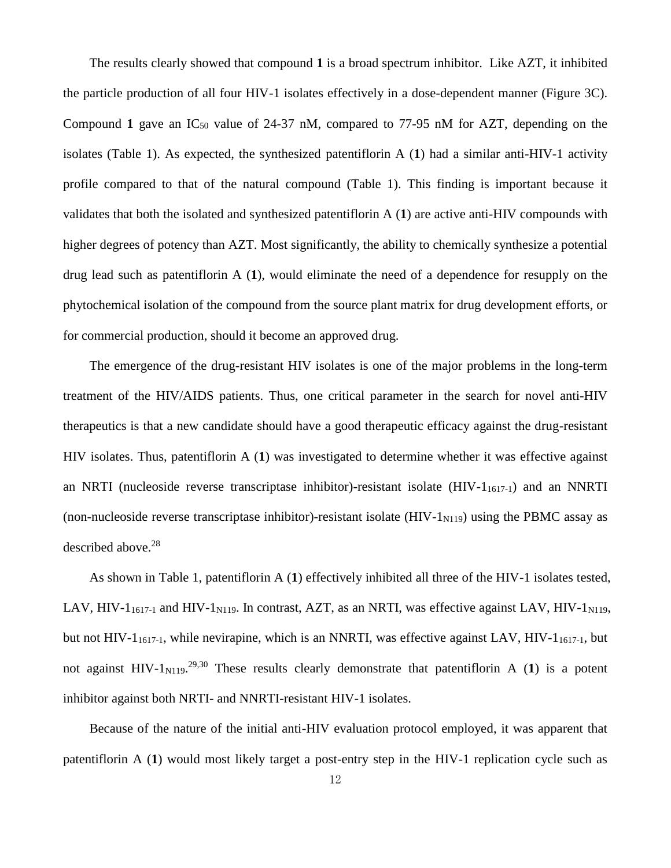The results clearly showed that compound **1** is a broad spectrum inhibitor. Like AZT, it inhibited the particle production of all four HIV-1 isolates effectively in a dose-dependent manner (Figure 3C). Compound 1 gave an  $IC_{50}$  value of 24-37 nM, compared to 77-95 nM for AZT, depending on the isolates (Table 1). As expected, the synthesized patentiflorin A (**1**) had a similar anti-HIV-1 activity profile compared to that of the natural compound (Table 1). This finding is important because it validates that both the isolated and synthesized patentiflorin A (**1**) are active anti-HIV compounds with higher degrees of potency than AZT. Most significantly, the ability to chemically synthesize a potential drug lead such as patentiflorin A (**1**), would eliminate the need of a dependence for resupply on the phytochemical isolation of the compound from the source plant matrix for drug development efforts, or for commercial production, should it become an approved drug.

The emergence of the drug-resistant HIV isolates is one of the major problems in the long-term treatment of the HIV/AIDS patients. Thus, one critical parameter in the search for novel anti-HIV therapeutics is that a new candidate should have a good therapeutic efficacy against the drug-resistant HIV isolates. Thus, patentiflorin A (**1**) was investigated to determine whether it was effective against an NRTI (nucleoside reverse transcriptase inhibitor)-resistant isolate (HIV-11617-1) and an NNRTI (non-nucleoside reverse transcriptase inhibitor)-resistant isolate (HIV- $1_{N119}$ ) using the PBMC assay as described above. 28

As shown in Table 1, patentiflorin A (**1**) effectively inhibited all three of the HIV-1 isolates tested, LAV, HIV-1<sub>1617-1</sub> and HIV-1<sub>N119</sub>. In contrast, AZT, as an NRTI, was effective against LAV, HIV-1<sub>N119</sub>, but not HIV-1 $_{1617-1}$ , while nevirapine, which is an NNRTI, was effective against LAV, HIV-1 $_{1617-1}$ , but not against  $HIV-1_{N119}$ <sup>29,30</sup> These results clearly demonstrate that patentiflorin A (1) is a potent inhibitor against both NRTI- and NNRTI-resistant HIV-1 isolates.

Because of the nature of the initial anti-HIV evaluation protocol employed, it was apparent that patentiflorin A (**1**) would most likely target a post-entry step in the HIV-1 replication cycle such as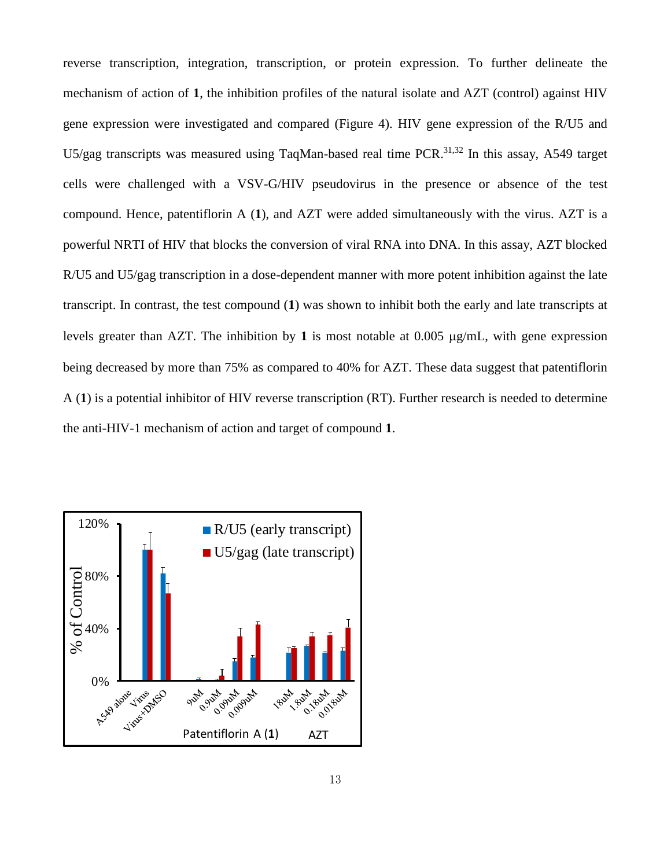reverse transcription, integration, transcription, or protein expression. To further delineate the mechanism of action of **1**, the inhibition profiles of the natural isolate and AZT (control) against HIV gene expression were investigated and compared (Figure 4). HIV gene expression of the R/U5 and U5/gag transcripts was measured using TaqMan-based real time PCR.<sup>31,32</sup> In this assay, A549 target cells were challenged with a VSV-G/HIV pseudovirus in the presence or absence of the test compound. Hence, patentiflorin A (**1**), and AZT were added simultaneously with the virus. AZT is a powerful NRTI of HIV that blocks the conversion of viral RNA into DNA. In this assay, AZT blocked R/U5 and U5/gag transcription in a dose-dependent manner with more potent inhibition against the late transcript. In contrast, the test compound (**1**) was shown to inhibit both the early and late transcripts at levels greater than AZT. The inhibition by 1 is most notable at  $0.005 \mu g/mL$ , with gene expression being decreased by more than 75% as compared to 40% for AZT. These data suggest that patentiflorin A (**1**) is a potential inhibitor of HIV reverse transcription (RT). Further research is needed to determine the anti-HIV-1 mechanism of action and target of compound **1**.

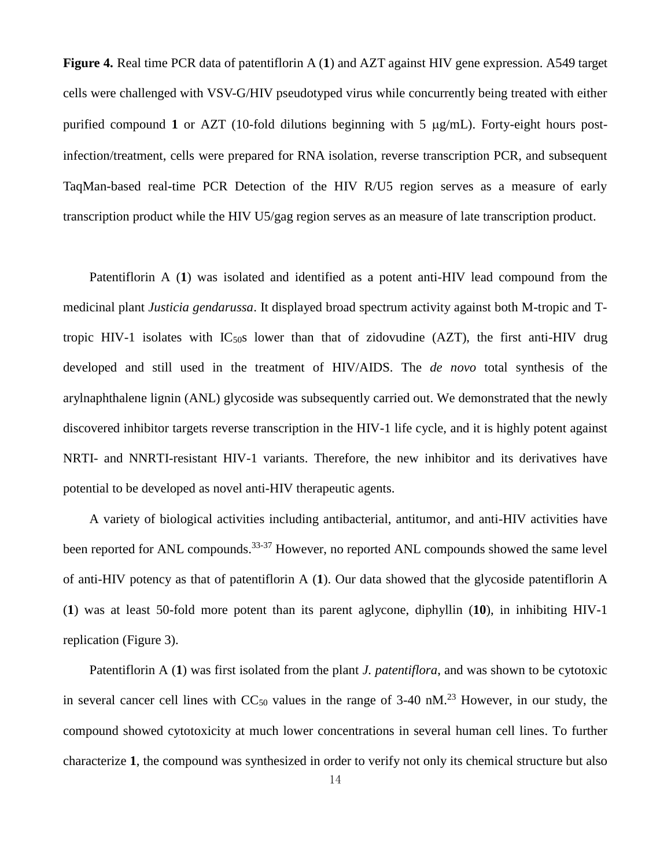**Figure 4.** Real time PCR data of patentiflorin A (**1**) and AZT against HIV gene expression. A549 target cells were challenged with VSV-G/HIV pseudotyped virus while concurrently being treated with either purified compound 1 or AZT (10-fold dilutions beginning with 5  $\mu$ g/mL). Forty-eight hours postinfection/treatment, cells were prepared for RNA isolation, reverse transcription PCR, and subsequent TaqMan-based real-time PCR Detection of the HIV R/U5 region serves as a measure of early transcription product while the HIV U5/gag region serves as an measure of late transcription product.

Patentiflorin A (**1**) was isolated and identified as a potent anti-HIV lead compound from the medicinal plant *Justicia gendarussa*. It displayed broad spectrum activity against both M-tropic and Ttropic HIV-1 isolates with  $IC_{50}$ s lower than that of zidovudine (AZT), the first anti-HIV drug developed and still used in the treatment of HIV/AIDS. The *de novo* total synthesis of the arylnaphthalene lignin (ANL) glycoside was subsequently carried out. We demonstrated that the newly discovered inhibitor targets reverse transcription in the HIV-1 life cycle, and it is highly potent against NRTI- and NNRTI-resistant HIV-1 variants. Therefore, the new inhibitor and its derivatives have potential to be developed as novel anti-HIV therapeutic agents.

A variety of biological activities including antibacterial, antitumor, and anti-HIV activities have been reported for ANL compounds.<sup>33-37</sup> However, no reported ANL compounds showed the same level of anti-HIV potency as that of patentiflorin A (**1**). Our data showed that the glycoside patentiflorin A (**1**) was at least 50-fold more potent than its parent aglycone, diphyllin (**10**), in inhibiting HIV-1 replication (Figure 3).

Patentiflorin A (**1**) was first isolated from the plant *J. patentiflora*, and was shown to be cytotoxic in several cancer cell lines with  $CC_{50}$  values in the range of 3-40 nM.<sup>23</sup> However, in our study, the compound showed cytotoxicity at much lower concentrations in several human cell lines. To further characterize **1**, the compound was synthesized in order to verify not only its chemical structure but also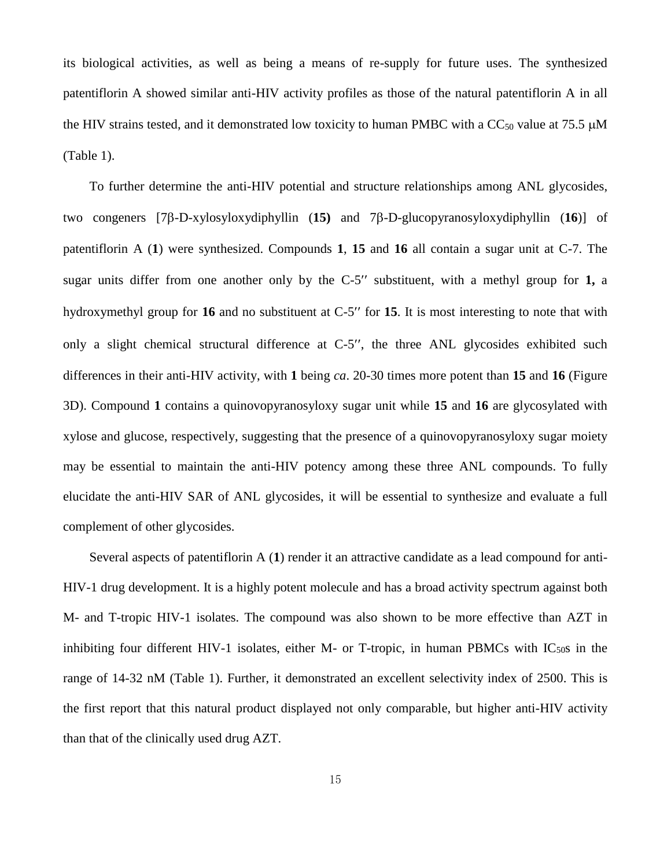its biological activities, as well as being a means of re-supply for future uses. The synthesized patentiflorin A showed similar anti-HIV activity profiles as those of the natural patentiflorin A in all the HIV strains tested, and it demonstrated low toxicity to human PMBC with a  $CC_{50}$  value at 75.5  $\mu$ M (Table 1).

To further determine the anti-HIV potential and structure relationships among ANL glycosides, two congeners  $[7\beta$ -D-xylosyloxydiphyllin  $(15)$  and  $7\beta$ -D-glucopyranosyloxydiphyllin  $(16)$ ] of patentiflorin A (**1**) were synthesized. Compounds **1**, **15** and **16** all contain a sugar unit at C-7. The sugar units differ from one another only by the  $C-5$ " substituent, with a methyl group for 1, a hydroxymethyl group for 16 and no substituent at C-5" for 15. It is most interesting to note that with only a slight chemical structural difference at  $C-5$ ", the three ANL glycosides exhibited such differences in their anti-HIV activity, with **1** being *ca*. 20-30 times more potent than **15** and **16** (Figure 3D). Compound **1** contains a quinovopyranosyloxy sugar unit while **15** and **16** are glycosylated with xylose and glucose, respectively, suggesting that the presence of a quinovopyranosyloxy sugar moiety may be essential to maintain the anti-HIV potency among these three ANL compounds. To fully elucidate the anti-HIV SAR of ANL glycosides, it will be essential to synthesize and evaluate a full complement of other glycosides.

Several aspects of patentiflorin A (**1**) render it an attractive candidate as a lead compound for anti-HIV-1 drug development. It is a highly potent molecule and has a broad activity spectrum against both M- and T-tropic HIV-1 isolates. The compound was also shown to be more effective than AZT in inhibiting four different HIV-1 isolates, either M- or T-tropic, in human PBMCs with  $IC_{50}$  in the range of 14-32 nM (Table 1). Further, it demonstrated an excellent selectivity index of 2500. This is the first report that this natural product displayed not only comparable, but higher anti-HIV activity than that of the clinically used drug AZT.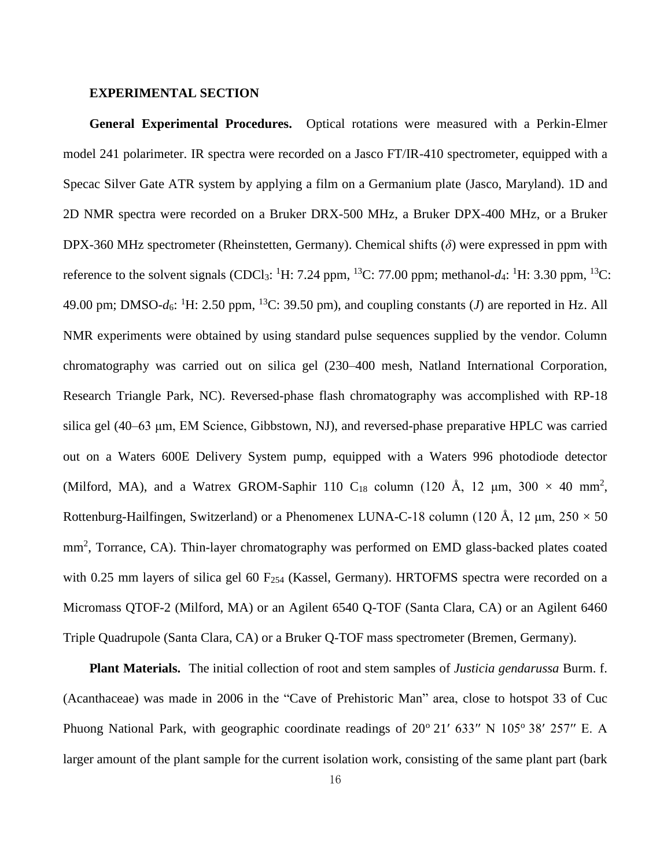#### **EXPERIMENTAL SECTION**

**General Experimental Procedures.** Optical rotations were measured with a Perkin-Elmer model 241 polarimeter. IR spectra were recorded on a Jasco FT/IR-410 spectrometer, equipped with a Specac Silver Gate ATR system by applying a film on a Germanium plate (Jasco, Maryland). 1D and 2D NMR spectra were recorded on a Bruker DRX-500 MHz, a Bruker DPX-400 MHz, or a Bruker DPX-360 MHz spectrometer (Rheinstetten, Germany). Chemical shifts (*δ*) were expressed in ppm with reference to the solvent signals (CDCl<sub>3</sub>: <sup>1</sup>H: 7.24 ppm, <sup>13</sup>C: 77.00 ppm; methanol- $d_4$ : <sup>1</sup>H: 3.30 ppm, <sup>13</sup>C: 49.00 pm; DMSO- $d_6$ : <sup>1</sup>H: 2.50 ppm, <sup>13</sup>C: 39.50 pm), and coupling constants (*J*) are reported in Hz. All NMR experiments were obtained by using standard pulse sequences supplied by the vendor. Column chromatography was carried out on silica gel (230–400 mesh, Natland International Corporation, Research Triangle Park, NC). Reversed-phase flash chromatography was accomplished with RP-18 silica gel (40–63 μm, EM Science, Gibbstown, NJ), and reversed-phase preparative HPLC was carried out on a Waters 600E Delivery System pump, equipped with a Waters 996 photodiode detector (Milford, MA), and a Watrex GROM-Saphir 110 C<sub>18</sub> column (120 Å, 12  $\mu$ m, 300  $\times$  40 mm<sup>2</sup>, Rottenburg-Hailfingen, Switzerland) or a Phenomenex LUNA-C-18 column (120 Å, 12  $\mu$ m, 250  $\times$  50 mm<sup>2</sup>, Torrance, CA). Thin-layer chromatography was performed on EMD glass-backed plates coated with 0.25 mm layers of silica gel 60  $F_{254}$  (Kassel, Germany). HRTOFMS spectra were recorded on a Micromass QTOF-2 (Milford, MA) or an Agilent 6540 Q-TOF (Santa Clara, CA) or an Agilent 6460 Triple Quadrupole (Santa Clara, CA) or a Bruker Q-TOF mass spectrometer (Bremen, Germany).

**Plant Materials.** The initial collection of root and stem samples of *Justicia gendarussa* Burm. f. (Acanthaceae) was made in 2006 in the "Cave of Prehistoric Man" area, close to hotspot 33 of Cuc Phuong National Park, with geographic coordinate readings of  $20^{\circ}$  21' 633" N 105 $^{\circ}$  38' 257" E. A larger amount of the plant sample for the current isolation work, consisting of the same plant part (bark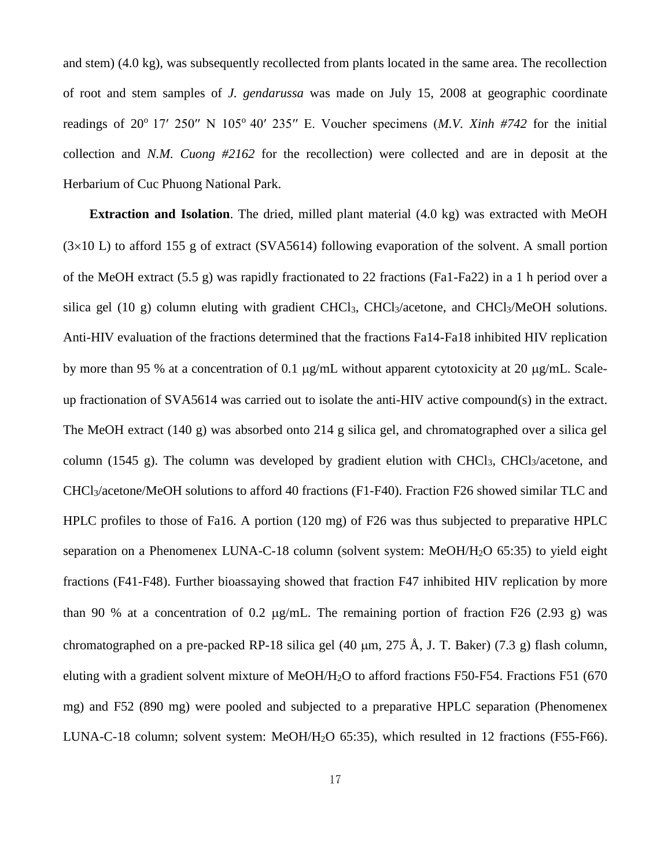and stem) (4.0 kg), was subsequently recollected from plants located in the same area. The recollection of root and stem samples of *J. gendarussa* was made on July 15, 2008 at geographic coordinate readings of  $20^{\circ}$  17'  $250''$  N  $105^{\circ}$  40'  $235''$  E. Voucher specimens (*M.V. Xinh #742* for the initial collection and *N.M. Cuong #2162* for the recollection) were collected and are in deposit at the Herbarium of Cuc Phuong National Park.

**Extraction and Isolation**. The dried, milled plant material (4.0 kg) was extracted with MeOH  $(3\times10)$  L) to afford 155 g of extract (SVA5614) following evaporation of the solvent. A small portion of the MeOH extract (5.5 g) was rapidly fractionated to 22 fractions (Fa1-Fa22) in a 1 h period over a silica gel (10 g) column eluting with gradient CHCl<sub>3</sub>, CHCl<sub>3</sub>/acetone, and CHCl<sub>3</sub>/MeOH solutions. Anti-HIV evaluation of the fractions determined that the fractions Fa14-Fa18 inhibited HIV replication by more than 95 % at a concentration of 0.1  $\mu$ g/mL without apparent cytotoxicity at 20  $\mu$ g/mL. Scaleup fractionation of SVA5614 was carried out to isolate the anti-HIV active compound(s) in the extract. The MeOH extract (140 g) was absorbed onto 214 g silica gel, and chromatographed over a silica gel column (1545 g). The column was developed by gradient elution with CHCl<sub>3</sub>, CHCl<sub>3</sub>/acetone, and CHCl3/acetone/MeOH solutions to afford 40 fractions (F1-F40). Fraction F26 showed similar TLC and HPLC profiles to those of Fa16. A portion (120 mg) of F26 was thus subjected to preparative HPLC separation on a Phenomenex LUNA-C-18 column (solvent system: MeOH/H2O 65:35) to yield eight fractions (F41-F48). Further bioassaying showed that fraction F47 inhibited HIV replication by more than 90 % at a concentration of 0.2  $\mu$ g/mL. The remaining portion of fraction F26 (2.93 g) was chromatographed on a pre-packed RP-18 silica gel (40  $\mu$ m, 275 Å, J. T. Baker) (7.3 g) flash column, eluting with a gradient solvent mixture of MeOH/H2O to afford fractions F50-F54. Fractions F51 (670 mg) and F52 (890 mg) were pooled and subjected to a preparative HPLC separation (Phenomenex LUNA-C-18 column; solvent system: MeOH/H2O 65:35), which resulted in 12 fractions (F55-F66).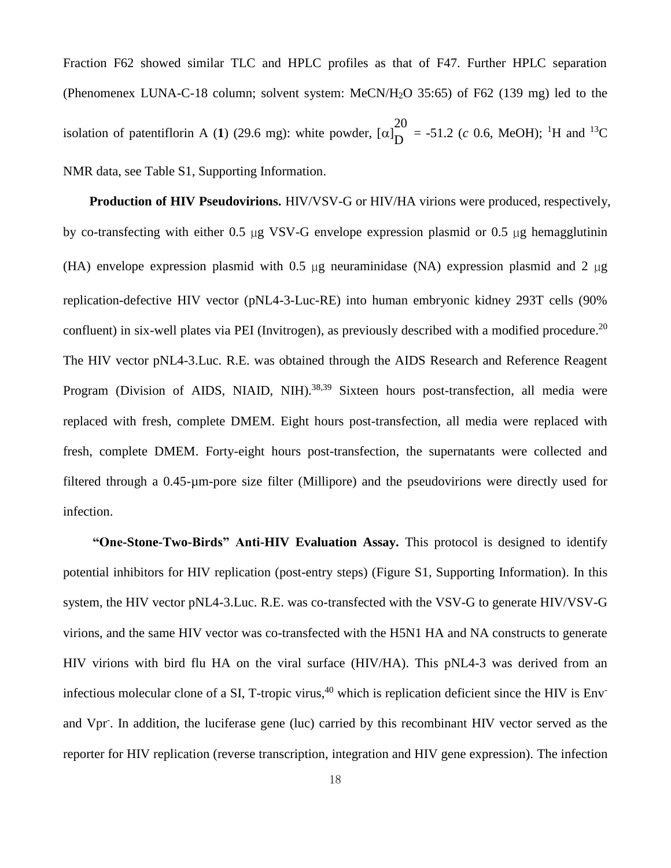Fraction F62 showed similar TLC and HPLC profiles as that of F47. Further HPLC separation (Phenomenex LUNA-C-18 column; solvent system: MeCN/H2O 35:65) of F62 (139 mg) led to the isolation of patentiflorin A  $(1)$   $(29.6$  mg): white powder,  $[\alpha]$ 20  $D = -51.2$  (*c* 0.6, MeOH); <sup>1</sup>H and <sup>13</sup>C NMR data, see Table S1, Supporting Information.

**Production of HIV Pseudovirions.** HIV/VSV-G or HIV/HA virions were produced, respectively, by co-transfecting with either 0.5 µg VSV-G envelope expression plasmid or 0.5 µg hemagglutinin (HA) envelope expression plasmid with 0.5 µg neuraminidase (NA) expression plasmid and 2 µg replication-defective HIV vector (pNL4-3-Luc-RE) into human embryonic kidney 293T cells (90% confluent) in six-well plates via PEI (Invitrogen), as previously described with a modified procedure.<sup>20</sup> The HIV vector pNL4-3.Luc. R.E. was obtained through the AIDS Research and Reference Reagent Program (Division of AIDS, NIAID, NIH).<sup>38,39</sup> Sixteen hours post-transfection, all media were replaced with fresh, complete DMEM. Eight hours post-transfection, all media were replaced with fresh, complete DMEM. Forty-eight hours post-transfection, the supernatants were collected and filtered through a 0.45-µm-pore size filter (Millipore) and the pseudovirions were directly used for infection.

**"One-Stone-Two-Birds" Anti-HIV Evaluation Assay.** This protocol is designed to identify potential inhibitors for HIV replication (post-entry steps) (Figure S1, Supporting Information). In this system, the HIV vector pNL4-3.Luc. R.E. was co-transfected with the VSV-G to generate HIV/VSV-G virions, and the same HIV vector was co-transfected with the H5N1 HA and NA constructs to generate HIV virions with bird flu HA on the viral surface (HIV/HA). This pNL4-3 was derived from an infectious molecular clone of a SI, T-tropic virus,<sup>40</sup> which is replication deficient since the HIV is Env<sup>-</sup> and Vpr. In addition, the luciferase gene (luc) carried by this recombinant HIV vector served as the reporter for HIV replication (reverse transcription, integration and HIV gene expression). The infection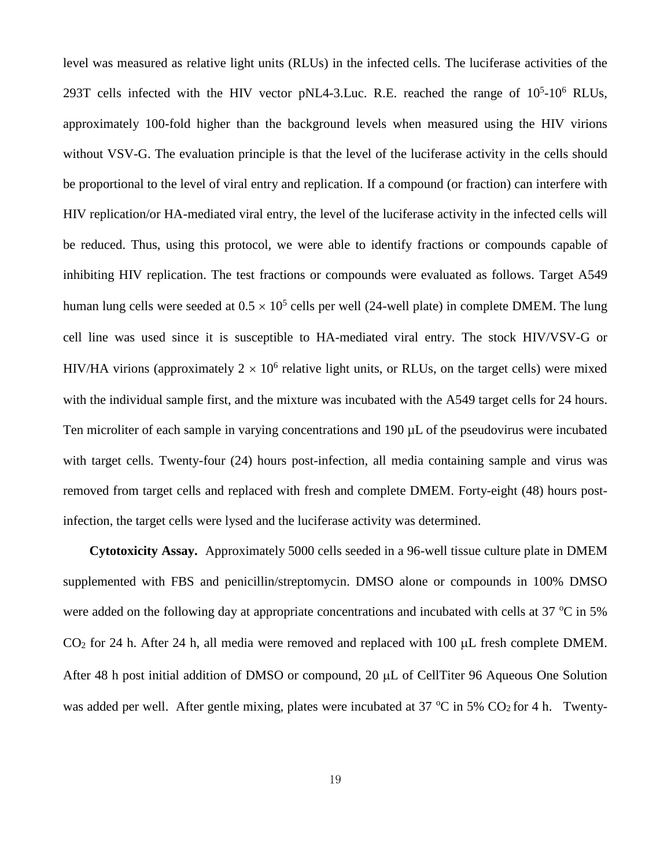level was measured as relative light units (RLUs) in the infected cells. The luciferase activities of the 293T cells infected with the HIV vector pNL4-3.Luc. R.E. reached the range of  $10^5$ - $10^6$  RLUs, approximately 100-fold higher than the background levels when measured using the HIV virions without VSV-G. The evaluation principle is that the level of the luciferase activity in the cells should be proportional to the level of viral entry and replication. If a compound (or fraction) can interfere with HIV replication/or HA-mediated viral entry, the level of the luciferase activity in the infected cells will be reduced. Thus, using this protocol, we were able to identify fractions or compounds capable of inhibiting HIV replication. The test fractions or compounds were evaluated as follows. Target A549 human lung cells were seeded at  $0.5 \times 10^5$  cells per well (24-well plate) in complete DMEM. The lung cell line was used since it is susceptible to HA-mediated viral entry. The stock HIV/VSV-G or HIV/HA virions (approximately  $2 \times 10^6$  relative light units, or RLUs, on the target cells) were mixed with the individual sample first, and the mixture was incubated with the A549 target cells for 24 hours. Ten microliter of each sample in varying concentrations and 190 µL of the pseudovirus were incubated with target cells. Twenty-four (24) hours post-infection, all media containing sample and virus was removed from target cells and replaced with fresh and complete DMEM. Forty-eight (48) hours postinfection, the target cells were lysed and the luciferase activity was determined.

**Cytotoxicity Assay.** Approximately 5000 cells seeded in a 96-well tissue culture plate in DMEM supplemented with FBS and penicillin/streptomycin. DMSO alone or compounds in 100% DMSO were added on the following day at appropriate concentrations and incubated with cells at  $37 \degree C$  in  $5\%$  $CO<sub>2</sub>$  for 24 h. After 24 h, all media were removed and replaced with 100  $\mu$ L fresh complete DMEM. After 48 h post initial addition of DMSO or compound,  $20 \mu L$  of CellTiter 96 Aqueous One Solution was added per well. After gentle mixing, plates were incubated at 37  $\degree$ C in 5% CO<sub>2</sub> for 4 h. Twenty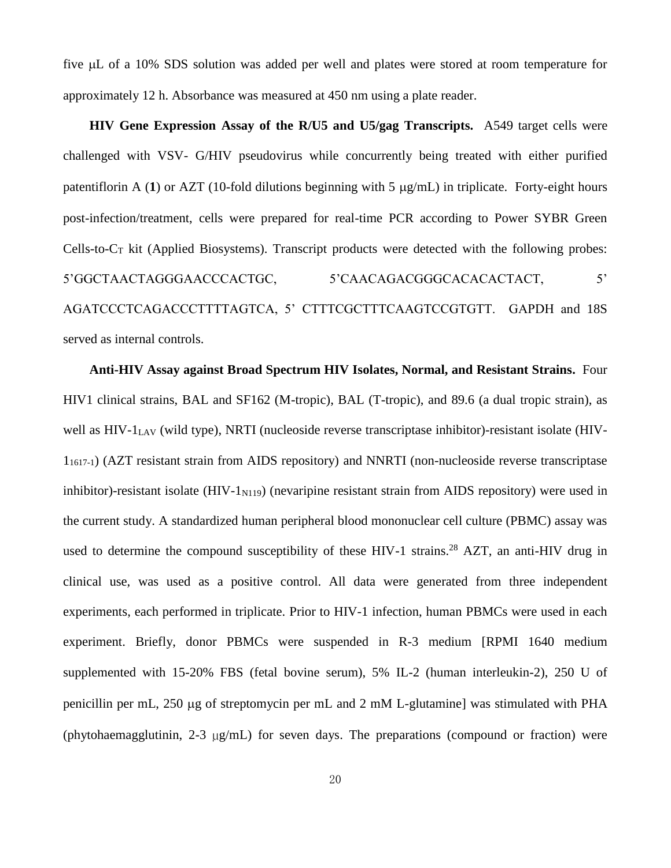five µL of a 10% SDS solution was added per well and plates were stored at room temperature for approximately 12 h. Absorbance was measured at 450 nm using a plate reader.

**HIV Gene Expression Assay of the R/U5 and U5/gag Transcripts.** A549 target cells were challenged with VSV- G/HIV pseudovirus while concurrently being treated with either purified patentiflorin A (1) or AZT (10-fold dilutions beginning with  $5 \mu g/mL$ ) in triplicate. Forty-eight hours post-infection/treatment, cells were prepared for real-time PCR according to Power SYBR Green Cells-to- $C_T$  kit (Applied Biosystems). Transcript products were detected with the following probes: 5'GGCTAACTAGGGAACCCACTGC, 5'CAACAGACGGGCACACACTACT, 5' AGATCCCTCAGACCCTTTTAGTCA, 5' CTTTCGCTTTCAAGTCCGTGTT. GAPDH and 18S served as internal controls.

**Anti-HIV Assay against Broad Spectrum HIV Isolates, Normal, and Resistant Strains.** Four HIV1 clinical strains, BAL and SF162 (M-tropic), BAL (T-tropic), and 89.6 (a dual tropic strain), as well as  $HIV-1<sub>LAV</sub>$  (wild type), NRTI (nucleoside reverse transcriptase inhibitor)-resistant isolate (HIV-11617-1) (AZT resistant strain from AIDS repository) and NNRTI (non-nucleoside reverse transcriptase inhibitor)-resistant isolate  $(HIV-1<sub>N119</sub>)$  (nevaripine resistant strain from AIDS repository) were used in the current study. A standardized human peripheral blood mononuclear cell culture (PBMC) assay was used to determine the compound susceptibility of these HIV-1 strains.<sup>28</sup> AZT, an anti-HIV drug in clinical use, was used as a positive control. All data were generated from three independent experiments, each performed in triplicate. Prior to HIV-1 infection, human PBMCs were used in each experiment. Briefly, donor PBMCs were suspended in R-3 medium [RPMI 1640 medium supplemented with 15-20% FBS (fetal bovine serum), 5% IL-2 (human interleukin-2), 250 U of penicillin per mL,  $250 \mu$ g of streptomycin per mL and  $2 \mu$ M L-glutamine] was stimulated with PHA (phytohaemagglutinin, 2-3 µg/mL) for seven days. The preparations (compound or fraction) were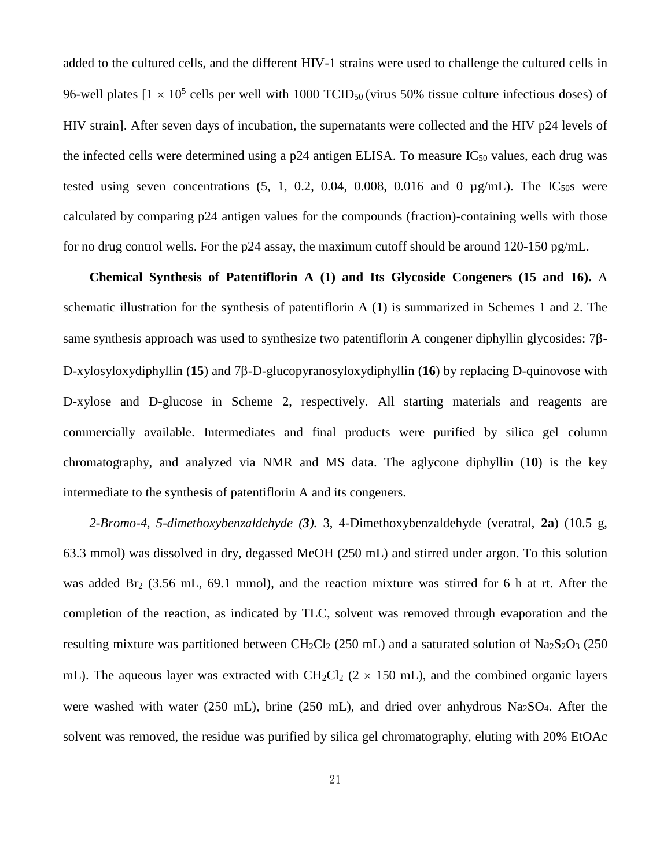added to the cultured cells, and the different HIV-1 strains were used to challenge the cultured cells in 96-well plates  $[1 \times 10^5$  cells per well with 1000 TCID<sub>50</sub> (virus 50% tissue culture infectious doses) of HIV strain]. After seven days of incubation, the supernatants were collected and the HIV p24 levels of the infected cells were determined using a  $p24$  antigen ELISA. To measure IC<sub>50</sub> values, each drug was tested using seven concentrations  $(5, 1, 0.2, 0.04, 0.008, 0.016,$  and 0  $\mu$ g/mL). The IC<sub>50</sub>s were calculated by comparing p24 antigen values for the compounds (fraction)-containing wells with those for no drug control wells. For the p24 assay, the maximum cutoff should be around 120-150 pg/mL.

**Chemical Synthesis of Patentiflorin A (1) and Its Glycoside Congeners (15 and 16).** A schematic illustration for the synthesis of patentiflorin A (**1**) is summarized in Schemes 1 and 2. The same synthesis approach was used to synthesize two patentiflorin A congener diphyllin glycosides:  $7\beta$ -D-xylosyloxydiphyllin (15) and 7 $\beta$ -D-glucopyranosyloxydiphyllin (16) by replacing D-quinovose with D-xylose and D-glucose in Scheme 2, respectively. All starting materials and reagents are commercially available. Intermediates and final products were purified by silica gel column chromatography, and analyzed via NMR and MS data. The aglycone diphyllin (**10**) is the key intermediate to the synthesis of patentiflorin A and its congeners.

*2-Bromo-4, 5-dimethoxybenzaldehyde (3).* 3, 4-Dimethoxybenzaldehyde (veratral, **2a**) (10.5 g, 63.3 mmol) was dissolved in dry, degassed MeOH (250 mL) and stirred under argon. To this solution was added Br<sub>2</sub> (3.56 mL, 69.1 mmol), and the reaction mixture was stirred for 6 h at rt. After the completion of the reaction, as indicated by TLC, solvent was removed through evaporation and the resulting mixture was partitioned between  $CH_2Cl_2$  (250 mL) and a saturated solution of Na<sub>2</sub>S<sub>2</sub>O<sub>3</sub> (250 mL). The aqueous layer was extracted with  $CH_2Cl_2$  (2  $\times$  150 mL), and the combined organic layers were washed with water (250 mL), brine (250 mL), and dried over anhydrous Na<sub>2</sub>SO<sub>4</sub>. After the solvent was removed, the residue was purified by silica gel chromatography, eluting with 20% EtOAc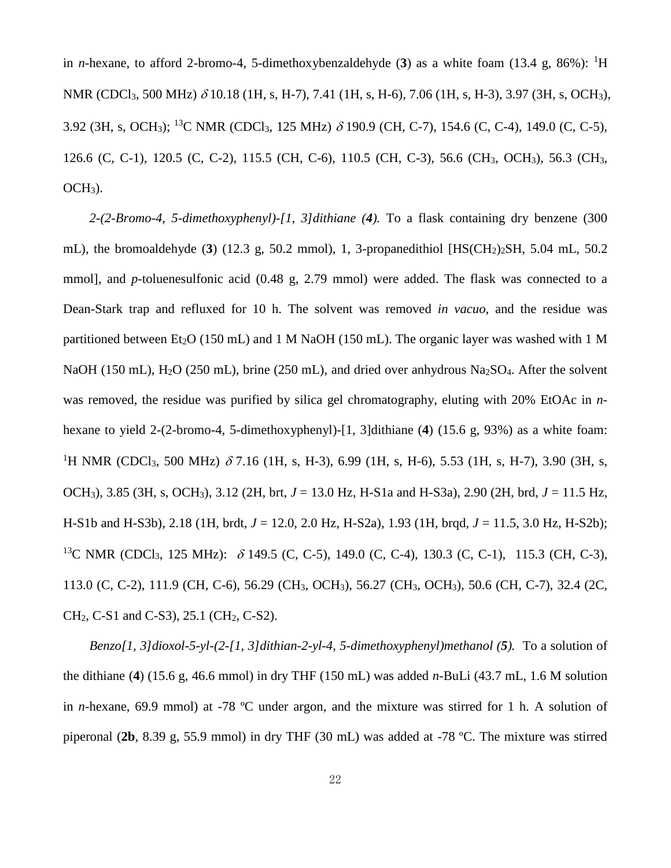in *n*-hexane, to afford 2-bromo-4, 5-dimethoxybenzaldehyde (3) as a white foam (13.4 g, 86%): <sup>1</sup>H NMR (CDCl<sub>3</sub>, 500 MHz)  $\delta$  10.18 (1H, s, H-7), 7.41 (1H, s, H-6), 7.06 (1H, s, H-3), 3.97 (3H, s, OCH<sub>3</sub>), 3.92 (3H, s, OCH<sub>3</sub>); <sup>13</sup>C NMR (CDCl<sub>3</sub>, 125 MHz)  $\delta$  190.9 (CH, C-7), 154.6 (C, C-4), 149.0 (C, C-5), 126.6 (C, C-1), 120.5 (C, C-2), 115.5 (CH, C-6), 110.5 (CH, C-3), 56.6 (CH3, OCH3), 56.3 (CH3,  $OCH<sub>3</sub>$ ).

*2-(2-Bromo-4, 5-dimethoxyphenyl)-[1, 3]dithiane (4).* To a flask containing dry benzene (300 mL), the bromoaldehyde  $(3)$   $(12.3 \text{ g}, 50.2 \text{ mmol})$ , 1, 3-propanedithiol [HS(CH<sub>2</sub>)<sub>2</sub>SH, 5.04 mL, 50.2 mmol], and *p*-toluenesulfonic acid (0.48 g, 2.79 mmol) were added. The flask was connected to a Dean-Stark trap and refluxed for 10 h. The solvent was removed *in vacuo*, and the residue was partitioned between Et<sub>2</sub>O (150 mL) and 1 M NaOH (150 mL). The organic layer was washed with 1 M NaOH (150 mL), H<sub>2</sub>O (250 mL), brine (250 mL), and dried over anhydrous Na<sub>2</sub>SO<sub>4</sub>. After the solvent was removed, the residue was purified by silica gel chromatography, eluting with 20% EtOAc in *n*hexane to yield 2-(2-bromo-4, 5-dimethoxyphenyl)-[1, 3]dithiane (**4**) (15.6 g, 93%) as a white foam: <sup>1</sup>H NMR (CDCl<sub>3</sub>, 500 MHz)  $\delta$  7.16 (1H, s, H-3), 6.99 (1H, s, H-6), 5.53 (1H, s, H-7), 3.90 (3H, s, OCH3), 3.85 (3H, s, OCH3), 3.12 (2H, brt, *J* = 13.0 Hz, H-S1a and H-S3a), 2.90 (2H, brd, *J* = 11.5 Hz, H-S1b and H-S3b), 2.18 (1H, brdt, *J* = 12.0, 2.0 Hz, H-S2a), 1.93 (1H, brqd, *J* = 11.5, 3.0 Hz, H-S2b); <sup>13</sup>C NMR (CDCl<sub>3</sub>, 125 MHz):  $\delta$  149.5 (C, C-5), 149.0 (C, C-4), 130.3 (C, C-1), 115.3 (CH, C-3), 113.0 (C, C-2), 111.9 (CH, C-6), 56.29 (CH3, OCH3), 56.27 (CH3, OCH3), 50.6 (CH, C-7), 32.4 (2C,  $CH<sub>2</sub>$ , C-S1 and C-S3), 25.1 (CH<sub>2</sub>, C-S2).

*Benzo[1, 3]dioxol-5-yl-(2-[1, 3]dithian-2-yl-4, 5-dimethoxyphenyl)methanol (5).* To a solution of the dithiane (**4**) (15.6 g, 46.6 mmol) in dry THF (150 mL) was added *n*-BuLi (43.7 mL, 1.6 M solution in *n*-hexane, 69.9 mmol) at -78 ºC under argon, and the mixture was stirred for 1 h. A solution of piperonal (**2b**, 8.39 g, 55.9 mmol) in dry THF (30 mL) was added at -78 ºC. The mixture was stirred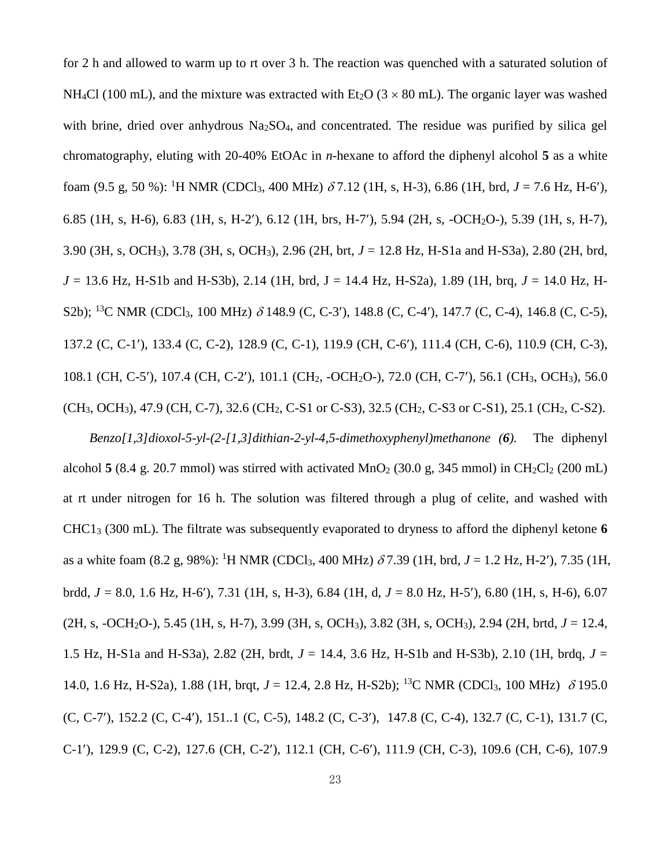for 2 h and allowed to warm up to rt over 3 h. The reaction was quenched with a saturated solution of NH<sub>4</sub>Cl (100 mL), and the mixture was extracted with Et<sub>2</sub>O ( $3 \times 80$  mL). The organic layer was washed with brine, dried over anhydrous  $Na<sub>2</sub>SO<sub>4</sub>$ , and concentrated. The residue was purified by silica gel chromatography, eluting with 20-40% EtOAc in *n*-hexane to afford the diphenyl alcohol **5** as a white foam (9.5 g, 50 %): <sup>1</sup>H NMR (CDCl<sub>3</sub>, 400 MHz)  $\delta$  7.12 (1H, s, H-3), 6.86 (1H, brd, *J* = 7.6 Hz, H-6'), 6.85 (1H, s, H-6), 6.83 (1H, s, H-2), 6.12 (1H, brs, H-7), 5.94 (2H, s, -OCH2O-), 5.39 (1H, s, H-7), 3.90 (3H, s, OCH3), 3.78 (3H, s, OCH3), 2.96 (2H, brt, *J* = 12.8 Hz, H-S1a and H-S3a), 2.80 (2H, brd, *J* = 13.6 Hz, H-S1b and H-S3b), 2.14 (1H, brd, J = 14.4 Hz, H-S2a), 1.89 (1H, brq, *J* = 14.0 Hz, H-S2b); <sup>13</sup>C NMR (CDCl<sub>3</sub>, 100 MHz)  $\delta$  148.9 (C, C-3'), 148.8 (C, C-4'), 147.7 (C, C-4), 146.8 (C, C-5), 137.2 (C, C-1), 133.4 (C, C-2), 128.9 (C, C-1), 119.9 (CH, C-6), 111.4 (CH, C-6), 110.9 (CH, C-3), 108.1 (CH, C-5'), 107.4 (CH, C-2'), 101.1 (CH<sub>2</sub>, -OCH<sub>2</sub>O-), 72.0 (CH, C-7'), 56.1 (CH<sub>3</sub>, OCH<sub>3</sub>), 56.0 (CH3, OCH3), 47.9 (CH, C-7), 32.6 (CH2, C-S1 or C-S3), 32.5 (CH2, C-S3 or C-S1), 25.1 (CH2, C-S2).

*Benzo[1,3]dioxol-5-yl-(2-[1,3]dithian-2-yl-4,5-dimethoxyphenyl)methanone (6).* The diphenyl alcohol **5** (8.4 g. 20.7 mmol) was stirred with activated  $MnO<sub>2</sub>$  (30.0 g, 345 mmol) in CH<sub>2</sub>Cl<sub>2</sub> (200 mL) at rt under nitrogen for 16 h. The solution was filtered through a plug of celite, and washed with CHC1<sup>3</sup> (300 mL). The filtrate was subsequently evaporated to dryness to afford the diphenyl ketone **6** as a white foam (8.2 g, 98%): <sup>1</sup>H NMR (CDCl<sub>3</sub>, 400 MHz)  $\delta$ 7.39 (1H, brd, *J* = 1.2 Hz, H-2'), 7.35 (1H, brdd, *J* = 8.0, 1.6 Hz, H-6), 7.31 (1H, s, H-3), 6.84 (1H, d, *J* = 8.0 Hz, H-5), 6.80 (1H, s, H-6), 6.07 (2H, s, -OCH2O-), 5.45 (1H, s, H-7), 3.99 (3H, s, OCH3), 3.82 (3H, s, OCH3), 2.94 (2H, brtd, *J* = 12.4, 1.5 Hz, H-S1a and H-S3a), 2.82 (2H, brdt, *J* = 14.4, 3.6 Hz, H-S1b and H-S3b), 2.10 (1H, brdq, *J* = 14.0, 1.6 Hz, H-S2a), 1.88 (1H, brqt,  $J = 12.4$ , 2.8 Hz, H-S2b); <sup>13</sup>C NMR (CDCl<sub>3</sub>, 100 MHz)  $\delta$  195.0 (C, C-7), 152.2 (C, C-4), 151..1 (C, C-5), 148.2 (C, C-3), 147.8 (C, C-4), 132.7 (C, C-1), 131.7 (C, C-1), 129.9 (C, C-2), 127.6 (CH, C-2), 112.1 (CH, C-6), 111.9 (CH, C-3), 109.6 (CH, C-6), 107.9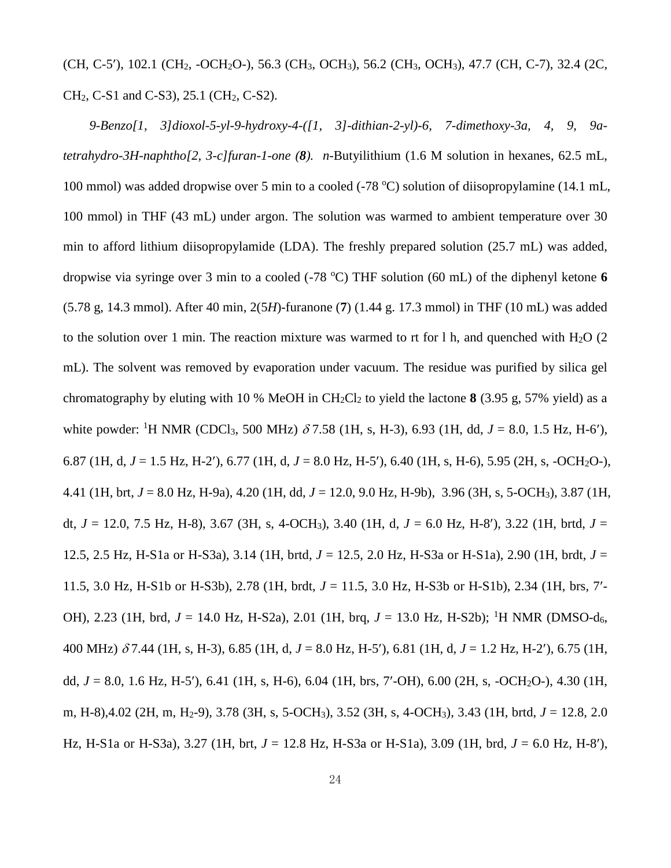(CH, C-5'), 102.1 (CH<sub>2</sub>, -OCH<sub>2</sub>O-), 56.3 (CH<sub>3</sub>, OCH<sub>3</sub>), 56.2 (CH<sub>3</sub>, OCH<sub>3</sub>), 47.7 (CH, C-7), 32.4 (2C, CH<sub>2</sub>, C-S1 and C-S3), 25.1 (CH<sub>2</sub>, C-S2).

*9-Benzo[1, 3]dioxol-5-yl-9-hydroxy-4-([1, 3]-dithian-2-yl)-6, 7-dimethoxy-3a, 4, 9, 9atetrahydro-3H-naphtho[2, 3-c]furan-1-one (8). n*-Butyilithium (1.6 M solution in hexanes, 62.5 mL, 100 mmol) was added dropwise over 5 min to a cooled (-78  $^{\circ}$ C) solution of diisopropylamine (14.1 mL, 100 mmol) in THF (43 mL) under argon. The solution was warmed to ambient temperature over 30 min to afford lithium diisopropylamide (LDA). The freshly prepared solution (25.7 mL) was added, dropwise via syringe over 3 min to a cooled (-78 °C) THF solution (60 mL) of the diphenyl ketone 6 (5.78 g, 14.3 mmol). After 40 min, 2(5*H*)-furanone (**7**) (1.44 g. 17.3 mmol) in THF (10 mL) was added to the solution over 1 min. The reaction mixture was warmed to rt for 1 h, and quenched with  $H_2O$  (2) mL). The solvent was removed by evaporation under vacuum. The residue was purified by silica gel chromatography by eluting with 10 % MeOH in CH2Cl<sup>2</sup> to yield the lactone **8** (3.95 g, 57% yield) as a white powder: <sup>1</sup>H NMR (CDCl<sub>3</sub>, 500 MHz)  $\delta$  7.58 (1H, s, H-3), 6.93 (1H, dd,  $J = 8.0$ , 1.5 Hz, H-6'), 6.87 (1H, d, *J* = 1.5 Hz, H-2), 6.77 (1H, d, *J* = 8.0 Hz, H-5), 6.40 (1H, s, H-6), 5.95 (2H, s, -OCH2O-), 4.41 (1H, brt, *J* = 8.0 Hz, H-9a), 4.20 (1H, dd, *J* = 12.0, 9.0 Hz, H-9b), 3.96 (3H, s, 5-OCH3), 3.87 (1H, dt, *J* = 12.0, 7.5 Hz, H-8), 3.67 (3H, s, 4-OCH3), 3.40 (1H, d, *J* = 6.0 Hz, H-8), 3.22 (1H, brtd, *J* = 12.5, 2.5 Hz, H-S1a or H-S3a), 3.14 (1H, brtd, *J* = 12.5, 2.0 Hz, H-S3a or H-S1a), 2.90 (1H, brdt, *J* = 11.5, 3.0 Hz, H-S1b or H-S3b), 2.78 (1H, brdt, *J* = 11.5, 3.0 Hz, H-S3b or H-S1b), 2.34 (1H, brs, 7- OH), 2.23 (1H, brd,  $J = 14.0$  Hz, H-S2a), 2.01 (1H, brq,  $J = 13.0$  Hz, H-S2b); <sup>1</sup>H NMR (DMSO-d<sub>6</sub>, 400 MHz) 7.44 (1H, s, H-3), 6.85 (1H, d, *J* = 8.0 Hz, H-5), 6.81 (1H, d, *J* = 1.2 Hz, H-2), 6.75 (1H, dd, *J* = 8.0, 1.6 Hz, H-5), 6.41 (1H, s, H-6), 6.04 (1H, brs, 7-OH), 6.00 (2H, s, -OCH2O-), 4.30 (1H, m, H-8),4.02 (2H, m, H2-9), 3.78 (3H, s, 5-OCH3), 3.52 (3H, s, 4-OCH3), 3.43 (1H, brtd, *J* = 12.8, 2.0 Hz, H-S1a or H-S3a), 3.27 (1H, brt, *J* = 12.8 Hz, H-S3a or H-S1a), 3.09 (1H, brd, *J* = 6.0 Hz, H-8),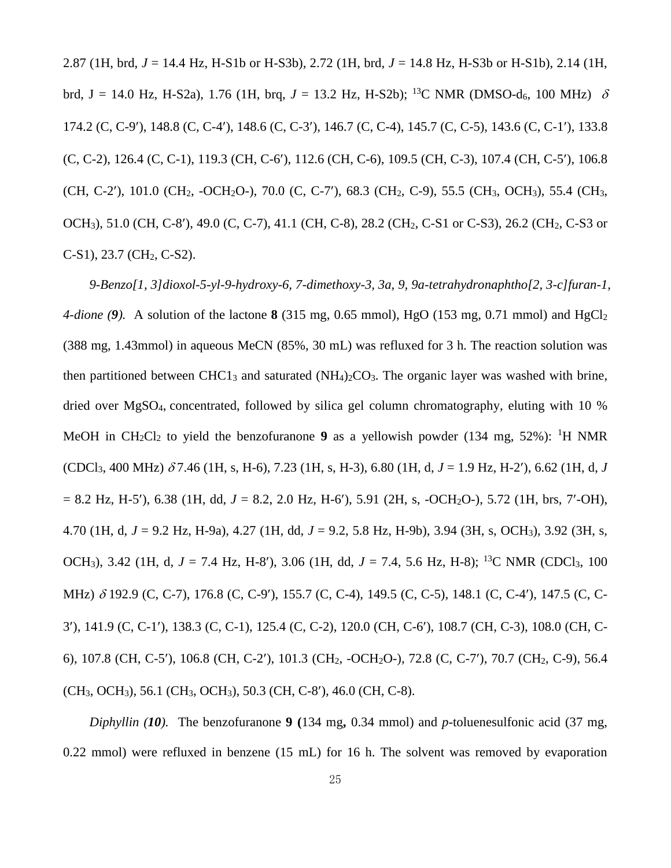2.87 (1H, brd, *J* = 14.4 Hz, H-S1b or H-S3b), 2.72 (1H, brd, *J* = 14.8 Hz, H-S3b or H-S1b), 2.14 (1H, brd, J = 14.0 Hz, H-S2a), 1.76 (1H, brg, J = 13.2 Hz, H-S2b); <sup>13</sup>C NMR (DMSO-d<sub>6</sub>, 100 MHz)  $\delta$ 174.2 (C, C-9), 148.8 (C, C-4), 148.6 (C, C-3), 146.7 (C, C-4), 145.7 (C, C-5), 143.6 (C, C-1), 133.8 (C, C-2), 126.4 (C, C-1), 119.3 (CH, C-6), 112.6 (CH, C-6), 109.5 (CH, C-3), 107.4 (CH, C-5), 106.8 (CH, C-2'), 101.0 (CH<sub>2</sub>, -OCH<sub>2</sub>O-), 70.0 (C, C-7'), 68.3 (CH<sub>2</sub>, C-9), 55.5 (CH<sub>3</sub>, OCH<sub>3</sub>), 55.4 (CH<sub>3</sub>, OCH<sub>3</sub>), 51.0 (CH, C-8'), 49.0 (C, C-7), 41.1 (CH, C-8), 28.2 (CH<sub>2</sub>, C-S1 or C-S3), 26.2 (CH<sub>2</sub>, C-S3 or C-S1), 23.7 (CH2, C-S2).

*9-Benzo[1, 3]dioxol-5-yl-9-hydroxy-6, 7-dimethoxy-3, 3a, 9, 9a-tetrahydronaphtho[2, 3-c]furan-1, 4-dione (9).* A solution of the lactone **8** (315 mg, 0.65 mmol), HgO (153 mg, 0.71 mmol) and HgCl<sub>2</sub> (388 mg, 1.43mmol) in aqueous MeCN (85%, 30 mL) was refluxed for 3 h. The reaction solution was then partitioned between  $CHC1<sub>3</sub>$  and saturated  $(NH<sub>4</sub>)<sub>2</sub>CO<sub>3</sub>$ . The organic layer was washed with brine, dried over MgSO4, concentrated, followed by silica gel column chromatography, eluting with 10 % MeOH in CH<sub>2</sub>Cl<sub>2</sub> to yield the benzofuranone **9** as a yellowish powder (134 mg, 52%): <sup>1</sup>H NMR  $(CDCl<sub>3</sub>, 400 MHz)$   $\delta$ 7.46 (1H, s, H-6), 7.23 (1H, s, H-3), 6.80 (1H, d,  $J = 1.9$  Hz, H-2'), 6.62 (1H, d,  $J$  $= 8.2$  Hz, H-5'), 6.38 (1H, dd,  $J = 8.2$ , 2.0 Hz, H-6'), 5.91 (2H, s, -OCH<sub>2</sub>O-), 5.72 (1H, brs, 7'-OH), 4.70 (1H, d, *J* = 9.2 Hz, H-9a), 4.27 (1H, dd, *J* = 9.2, 5.8 Hz, H-9b), 3.94 (3H, s, OCH3), 3.92 (3H, s, OCH3), 3.42 (1H, d, *J* = 7.4 Hz, H-8), 3.06 (1H, dd, *J* = 7.4, 5.6 Hz, H-8); <sup>13</sup>C NMR (CDCl3, 100 MHz)  $\delta$  192.9 (C, C-7), 176.8 (C, C-9'), 155.7 (C, C-4), 149.5 (C, C-5), 148.1 (C, C-4'), 147.5 (C, C-3), 141.9 (C, C-1), 138.3 (C, C-1), 125.4 (C, C-2), 120.0 (CH, C-6), 108.7 (CH, C-3), 108.0 (CH, C-6), 107.8 (CH, C-5), 106.8 (CH, C-2), 101.3 (CH2, -OCH2O-), 72.8 (C, C-7), 70.7 (CH2, C-9), 56.4 (CH3, OCH3), 56.1 (CH3, OCH3), 50.3 (CH, C-8), 46.0 (CH, C-8).

*Diphyllin (10).* The benzofuranone **9 (**134 mg**,** 0.34 mmol) and *p*-toluenesulfonic acid (37 mg, 0.22 mmol) were refluxed in benzene (15 mL) for 16 h. The solvent was removed by evaporation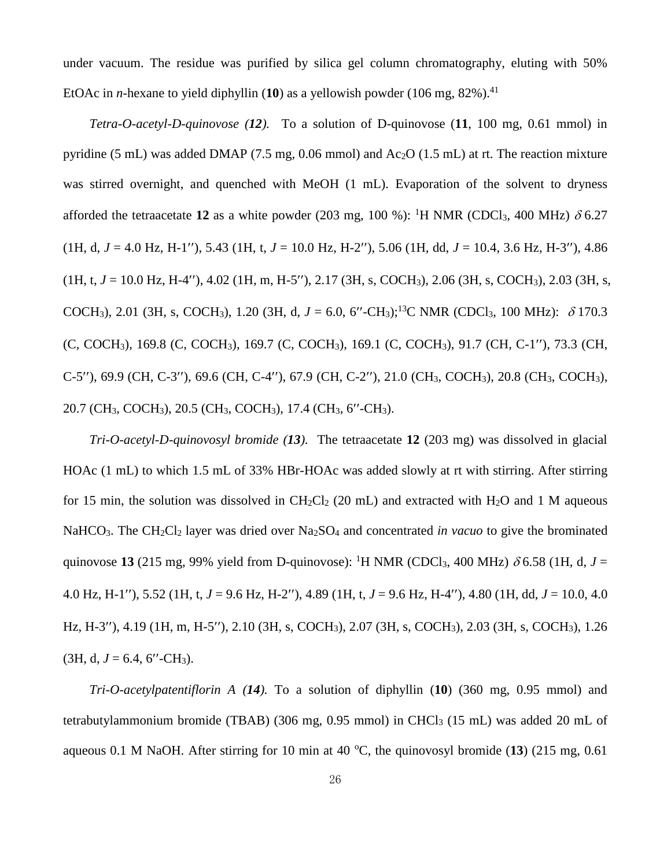under vacuum. The residue was purified by silica gel column chromatography, eluting with 50% EtOAc in *n*-hexane to yield diphyllin  $(10)$  as a yellowish powder  $(106 \text{ mg}, 82\%)$ .<sup>41</sup>

*Tetra-O-acetyl-D-quinovose (12).*To a solution of D-quinovose (**11**, 100 mg, 0.61 mmol) in pyridine (5 mL) was added DMAP (7.5 mg, 0.06 mmol) and  $Ac_2O$  (1.5 mL) at rt. The reaction mixture was stirred overnight, and quenched with MeOH (1 mL). Evaporation of the solvent to dryness afforded the tetraacetate 12 as a white powder (203 mg, 100 %): <sup>1</sup>H NMR (CDCl<sub>3</sub>, 400 MHz)  $\delta$  6.27  $(1H, d, J = 4.0 Hz, H-1''), 5.43 (1H, t, J = 10.0 Hz, H-2''), 5.06 (1H, dd, J = 10.4, 3.6 Hz, H-3''), 4.86$  $(1H, t, J = 10.0 \text{ Hz}, H-4)$ , 4.02 (1H, m, H-5''), 2.17 (3H, s, COCH<sub>3</sub>), 2.06 (3H, s, COCH<sub>3</sub>), 2.03 (3H, s, COCH<sub>3</sub>), 2.01 (3H, s, COCH<sub>3</sub>), 1.20 (3H, d,  $J = 6.0$ , 6''-CH<sub>3</sub>);<sup>13</sup>C NMR (CDCl<sub>3</sub>, 100 MHz):  $\delta$  170.3 (C, COCH<sub>3</sub>), 169.8 (C, COCH<sub>3</sub>), 169.7 (C, COCH<sub>3</sub>), 169.1 (C, COCH<sub>3</sub>), 91.7 (CH, C-1''), 73.3 (CH,  $C-5$ "), 69.9 (CH, C-3"), 69.6 (CH, C-4"), 67.9 (CH, C-2"), 21.0 (CH<sub>3</sub>, COCH<sub>3</sub>), 20.8 (CH<sub>3</sub>, COCH<sub>3</sub>), 20.7 (CH<sub>3</sub>, COCH<sub>3</sub>), 20.5 (CH<sub>3</sub>, COCH<sub>3</sub>), 17.4 (CH<sub>3</sub>, 6''-CH<sub>3</sub>).

*Tri-O-acetyl-D-quinovosyl bromide (13).* The tetraacetate **12** (203 mg) was dissolved in glacial HOAc (1 mL) to which 1.5 mL of 33% HBr-HOAc was added slowly at rt with stirring. After stirring for 15 min, the solution was dissolved in  $CH_2Cl_2$  (20 mL) and extracted with  $H_2O$  and 1 M aqueous NaHCO<sub>3</sub>. The CH<sub>2</sub>Cl<sub>2</sub> layer was dried over Na<sub>2</sub>SO<sub>4</sub> and concentrated *in vacuo* to give the brominated quinovose 13 (215 mg, 99% yield from D-quinovose): <sup>1</sup>H NMR (CDCl<sub>3</sub>, 400 MHz)  $\delta$  6.58 (1H, d, *J* = 4.0 Hz, H-1), 5.52 (1H, t, *J* = 9.6 Hz, H-2), 4.89 (1H, t, *J* = 9.6 Hz, H-4), 4.80 (1H, dd, *J* = 10.0, 4.0 Hz, H-3"), 4.19 (1H, m, H-5"), 2.10 (3H, s, COCH<sub>3</sub>), 2.07 (3H, s, COCH<sub>3</sub>), 2.03 (3H, s, COCH<sub>3</sub>), 1.26  $(3H, d, J = 6.4, 6''$ -CH<sub>3</sub>).

*Tri-O-acetylpatentiflorin A (14).* To a solution of diphyllin (**10**) (360 mg, 0.95 mmol) and tetrabutylammonium bromide (TBAB) (306 mg, 0.95 mmol) in CHCl<sub>3</sub> (15 mL) was added 20 mL of aqueous 0.1 M NaOH. After stirring for 10 min at 40  $^{\circ}$ C, the quinovosyl bromide (13) (215 mg, 0.61)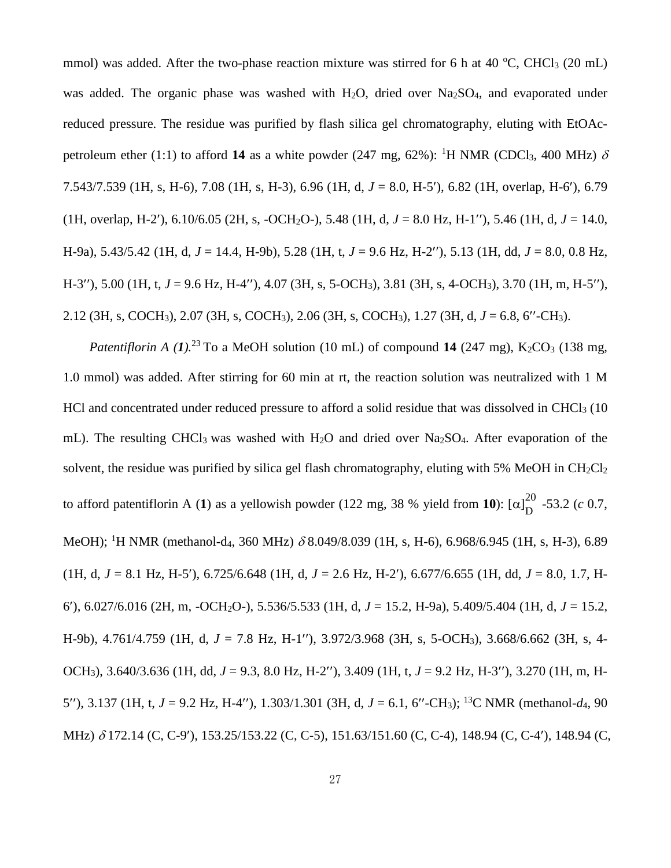mmol) was added. After the two-phase reaction mixture was stirred for 6 h at 40  $^{\circ}$ C, CHCl<sub>3</sub> (20 mL) was added. The organic phase was washed with  $H_2O$ , dried over  $Na_2SO_4$ , and evaporated under reduced pressure. The residue was purified by flash silica gel chromatography, eluting with EtOAcpetroleum ether (1:1) to afford 14 as a white powder (247 mg, 62%): <sup>1</sup>H NMR (CDCl<sub>3</sub>, 400 MHz)  $\delta$ 7.543/7.539 (1H, s, H-6), 7.08 (1H, s, H-3), 6.96 (1H, d, *J* = 8.0, H-5), 6.82 (1H, overlap, H-6), 6.79 (1H, overlap, H-2'),  $6.10/6.05$  (2H, s, -OCH<sub>2</sub>O-), 5.48 (1H, d,  $J = 8.0$  Hz, H-1''), 5.46 (1H, d,  $J = 14.0$ , H-9a), 5.43/5.42 (1H, d,  $J = 14.4$ , H-9b), 5.28 (1H, t,  $J = 9.6$  Hz, H-2"), 5.13 (1H, dd,  $J = 8.0$ , 0.8 Hz, H-3"), 5.00 (1H, t, *J* = 9.6 Hz, H-4"), 4.07 (3H, s, 5-OCH<sub>3</sub>), 3.81 (3H, s, 4-OCH<sub>3</sub>), 3.70 (1H, m, H-5"),  $2.12$  (3H, s, COCH<sub>3</sub>), 2.07 (3H, s, COCH<sub>3</sub>), 2.06 (3H, s, COCH<sub>3</sub>), 1.27 (3H, d,  $J = 6.8$ , 6''-CH<sub>3</sub>).

*Patentiflorin A (1).*<sup>23</sup> To a MeOH solution (10 mL) of compound **14** (247 mg), K<sub>2</sub>CO<sub>3</sub> (138 mg, 1.0 mmol) was added. After stirring for 60 min at rt, the reaction solution was neutralized with 1 M HCl and concentrated under reduced pressure to afford a solid residue that was dissolved in CHCl<sub>3</sub> (10) mL). The resulting CHCl<sub>3</sub> was washed with H<sub>2</sub>O and dried over Na<sub>2</sub>SO<sub>4</sub>. After evaporation of the solvent, the residue was purified by silica gel flash chromatography, eluting with 5% MeOH in  $CH_2Cl_2$ to afford patentiflorin A (1) as a yellowish powder (122 mg, 38 % yield from 10):  $\left[\alpha\right]_D^{20}$  $_{\text{D}}^{20}$  -53.2 (*c* 0.7, MeOH); <sup>1</sup>H NMR (methanol-d<sub>4</sub>, 360 MHz)  $\delta$  8.049/8.039 (1H, s, H-6), 6.968/6.945 (1H, s, H-3), 6.89 (1H, d, *J* = 8.1 Hz, H-5), 6.725/6.648 (1H, d, *J* = 2.6 Hz, H-2), 6.677/6.655 (1H, dd, *J* = 8.0, 1.7, H-6), 6.027/6.016 (2H, m, -OCH2O-), 5.536/5.533 (1H, d, *J* = 15.2, H-9a), 5.409/5.404 (1H, d, *J* = 15.2, H-9b), 4.761/4.759 (1H, d, J = 7.8 Hz, H-1"), 3.972/3.968 (3H, s, 5-OCH<sub>3</sub>), 3.668/6.662 (3H, s, 4-OCH<sub>3</sub>), 3.640/3.636 (1H, dd, *J* = 9.3, 8.0 Hz, H-2"), 3.409 (1H, t, *J* = 9.2 Hz, H-3"), 3.270 (1H, m, H-5"), 3.137 (1H, t,  $J = 9.2$  Hz, H-4"), 1.303/1.301 (3H, d,  $J = 6.1$ , 6"-CH<sub>3</sub>); <sup>13</sup>C NMR (methanol-d<sub>4</sub>, 90 MHz)  $\delta$  172.14 (C, C-9'), 153.25/153.22 (C, C-5), 151.63/151.60 (C, C-4), 148.94 (C, C-4'), 148.94 (C,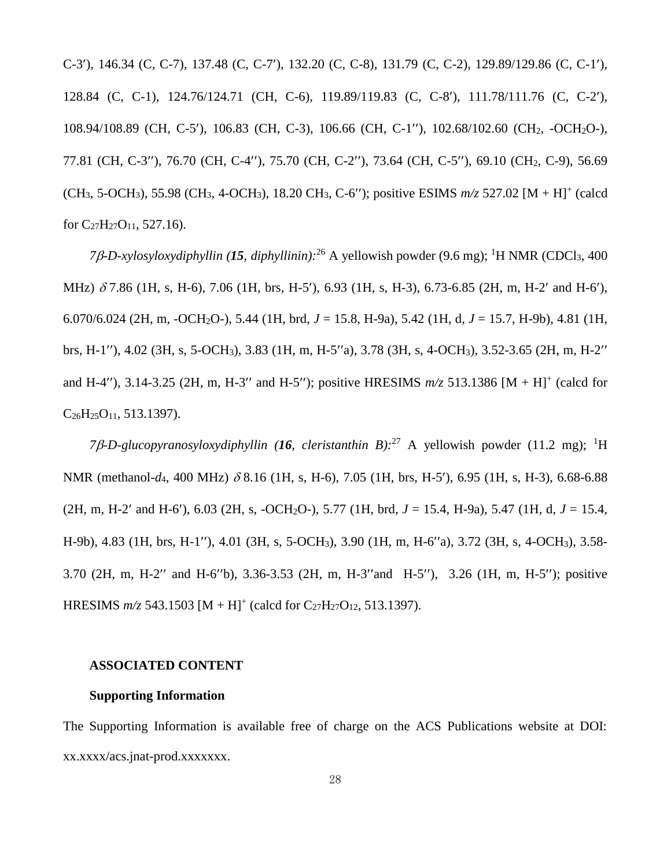C-3), 146.34 (C, C-7), 137.48 (C, C-7), 132.20 (C, C-8), 131.79 (C, C-2), 129.89/129.86 (C, C-1), 128.84 (C, C-1), 124.76/124.71 (CH, C-6), 119.89/119.83 (C, C-8), 111.78/111.76 (C, C-2), 108.94/108.89 (CH, C-5'), 106.83 (CH, C-3), 106.66 (CH, C-1''), 102.68/102.60 (CH<sub>2</sub>, -OCH<sub>2</sub>O-), 77.81 (CH, C-3"), 76.70 (CH, C-4"), 75.70 (CH, C-2"), 73.64 (CH, C-5"), 69.10 (CH<sub>2</sub>, C-9), 56.69 (CH<sub>3</sub>, 5-OCH<sub>3</sub>), 55.98 (CH<sub>3</sub>, 4-OCH<sub>3</sub>), 18.20 CH<sub>3</sub>, C-6"); positive ESIMS  $m/z$  527.02 [M + H]<sup>+</sup> (calcd for  $C_{27}H_{27}O_{11}$ , 527.16).

*7-D-xylosyloxydiphyllin (15, diphyllinin):* <sup>26</sup> A yellowish powder (9.6 mg); <sup>1</sup>H NMR (CDCl3, 400 MHz)  $\delta$  7.86 (1H, s, H-6), 7.06 (1H, brs, H-5'), 6.93 (1H, s, H-3), 6.73-6.85 (2H, m, H-2' and H-6'), 6.070/6.024 (2H, m, -OCH2O-), 5.44 (1H, brd, *J* = 15.8, H-9a), 5.42 (1H, d, *J* = 15.7, H-9b), 4.81 (1H, brs, H-1"), 4.02 (3H, s, 5-OCH<sub>3</sub>), 3.83 (1H, m, H-5"a), 3.78 (3H, s, 4-OCH<sub>3</sub>), 3.52-3.65 (2H, m, H-2" and H-4"), 3.14-3.25 (2H, m, H-3" and H-5"); positive HRESIMS  $m/z$  513.1386 [M + H]<sup>+</sup> (calcd for  $C_{26}H_{25}O_{11}$ , 513.1397).

7β-D-glucopyranosyloxydiphyllin (16, cleristanthin B):<sup>27</sup> A yellowish powder (11.2 mg); <sup>1</sup>H NMR (methanol- $d_4$ , 400 MHz)  $\delta$  8.16 (1H, s, H-6), 7.05 (1H, brs, H-5'), 6.95 (1H, s, H-3), 6.68-6.88  $(2H, m, H-2'$  and H-6'), 6.03 (2H, s, -OCH<sub>2</sub>O-), 5.77 (1H, brd,  $J = 15.4$ , H-9a), 5.47 (1H, d,  $J = 15.4$ , H-9b), 4.83 (1H, brs, H-1''), 4.01 (3H, s, 5-OCH<sub>3</sub>), 3.90 (1H, m, H-6''a), 3.72 (3H, s, 4-OCH<sub>3</sub>), 3.58-3.70 (2H, m, H-2" and H-6"b), 3.36-3.53 (2H, m, H-3"and H-5"), 3.26 (1H, m, H-5"); positive HRESIMS  $m/z$  543.1503 [M + H]<sup>+</sup> (calcd for C<sub>27</sub>H<sub>27</sub>O<sub>12</sub>, 513.1397).

### **ASSOCIATED CONTENT**

#### **Supporting Information**

The Supporting Information is available free of charge on the ACS Publications website at DOI: xx.xxxx/acs.jnat-prod.xxxxxxx.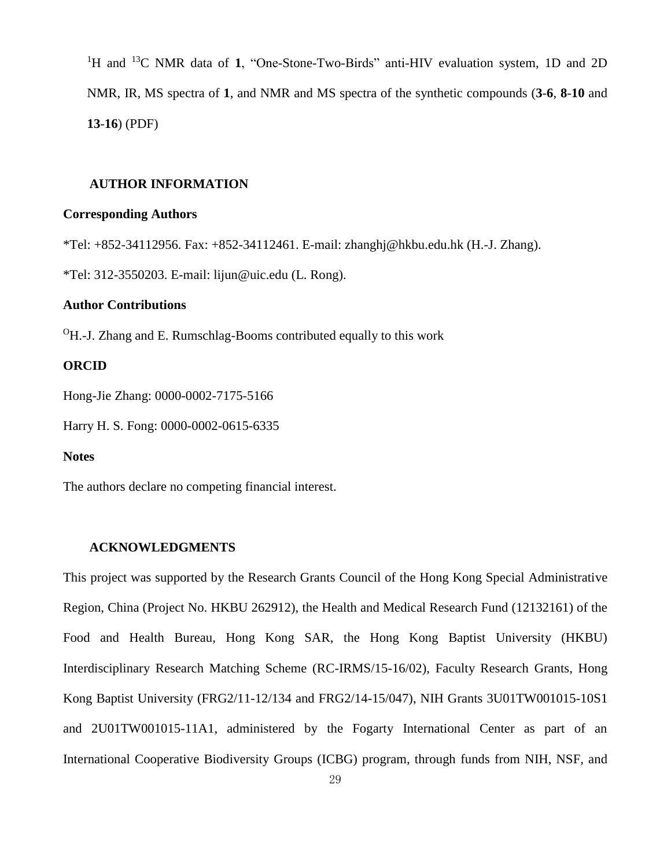<sup>1</sup>H and <sup>13</sup>C NMR data of **1**, "One-Stone-Two-Birds" anti-HIV evaluation system, 1D and 2D NMR, IR, MS spectra of **1**, and NMR and MS spectra of the synthetic compounds (**3**-**6**, **8**-**10** and **13**-**16**) (PDF)

#### **AUTHOR INFORMATION**

#### **Corresponding Authors**

\*Tel: +852-34112956. Fax: +852-34112461. E-mail: zhanghj@hkbu.edu.hk (H.-J. Zhang).

\*Tel: 312-3550203. E-mail: lijun@uic.edu (L. Rong).

#### **Author Contributions**

 $\rm{^{0}H}.$ -J. Zhang and E. Rumschlag-Booms contributed equally to this work

#### **ORCID**

Hong-Jie Zhang: [0000-0002-7175-5166](https://orcid.org/0000-0002-7175-5166)

Harry H. S. Fong: [0000-0002-0615-63](https://orcid.org/0000-0002-7175-5166)35

#### **Notes**

The authors declare no competing financial interest.

#### **ACKNOWLEDGMENTS**

This project was supported by the Research Grants Council of the Hong Kong Special Administrative Region, China (Project No. HKBU 262912), the Health and Medical Research Fund (12132161) of the Food and Health Bureau, Hong Kong SAR, the Hong Kong Baptist University (HKBU) Interdisciplinary Research Matching Scheme (RC-IRMS/15-16/02), Faculty Research Grants, Hong Kong Baptist University (FRG2/11-12/134 and FRG2/14-15/047), NIH Grants 3U01TW001015-10S1 and 2U01TW001015-11A1, administered by the Fogarty International Center as part of an International Cooperative Biodiversity Groups (ICBG) program, through funds from NIH, NSF, and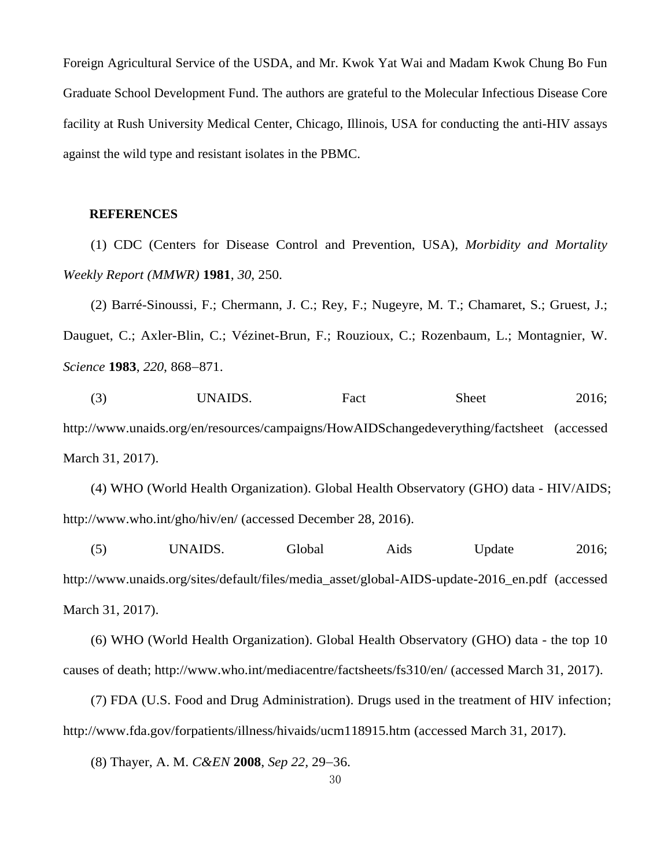Foreign Agricultural Service of the USDA, and Mr. Kwok Yat Wai and Madam Kwok Chung Bo Fun Graduate School Development Fund. The authors are grateful to the Molecular Infectious Disease Core facility at Rush University Medical Center, Chicago, Illinois, USA for conducting the anti-HIV assays against the wild type and resistant isolates in the PBMC.

#### **REFERENCES**

(1) CDC (Centers for Disease Control and Prevention, USA), *Morbidity and Mortality Weekly Report (MMWR)* **1981**, *30*, 250.

(2) Barré-Sinoussi, F.; Chermann, J. C.; Rey, F.; Nugeyre, M. T.; Chamaret, S.; Gruest, J.; Dauguet, C.; Axler-Blin, C.; Vézinet-Brun, F.; Rouzioux, C.; Rozenbaum, L.; Montagnier, W. *Science* **1983**, 220, 868-871.

(3) UNAIDS. Fact Sheet 2016; http://www.unaids.org/en/resources/campaigns/HowAIDSchangedeverything/factsheet (accessed March 31, 2017).

(4) WHO (World Health Organization). Global Health Observatory (GHO) data - HIV/AIDS; http://www.who.int/gho/hiv/en/ (accessed December 28, 2016).

(5) UNAIDS. Global Aids Update 2016; http://www.unaids.org/sites/default/files/media\_asset/global-AIDS-update-2016\_en.pdf (accessed March 31, 2017).

(6) WHO (World Health Organization). Global Health Observatory (GHO) data - the top 10 causes of death; http://www.who.int/mediacentre/factsheets/fs310/en/ (accessed March 31, 2017).

(7) FDA (U.S. Food and Drug Administration). Drugs used in the treatment of HIV infection; http://www.fda.gov/forpatients/illness/hivaids/ucm118915.htm (accessed March 31, 2017).

(8) Thayer, A. M. *C&EN* **2008**, *Sep* 22, 29–36.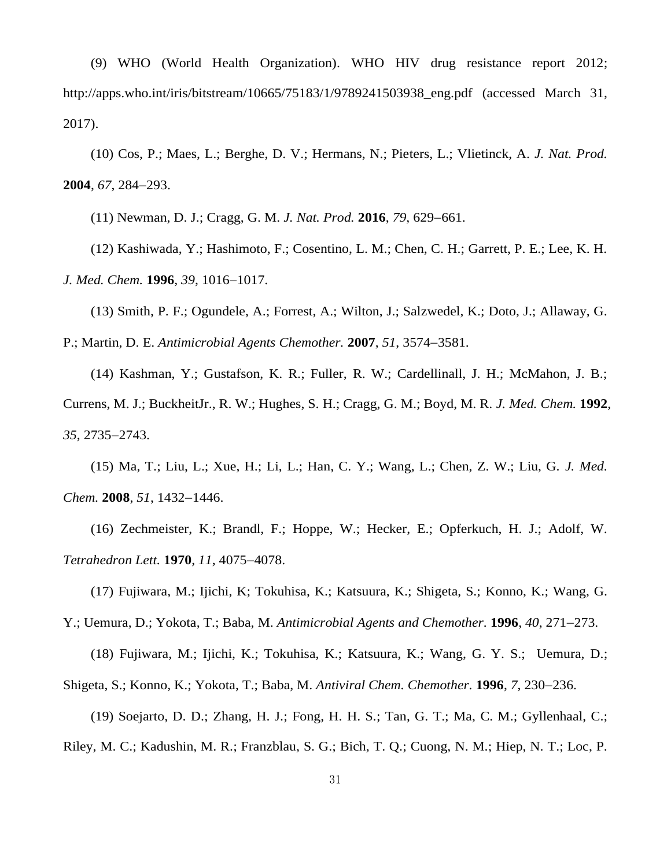(9) WHO (World Health Organization). WHO HIV drug resistance report 2012; http://apps.who.int/iris/bitstream/10665/75183/1/9789241503938\_eng.pdf (accessed March 31, 2017).

(10) Cos, P.; Maes, L.; Berghe, D. V.; Hermans, N.; Pieters, L.; Vlietinck, A. *J. Nat. Prod.* **2004**, 67, 284–293.

(11) Newman, D. J.; Cragg, G. M. *J. Nat. Prod.* **2016**, 79, 629–661.

(12) Kashiwada, Y.; Hashimoto, F.; Cosentino, L. M.; Chen, C. H.; Garrett, P. E.; Lee, K. H. *J. Med. Chem.* **1996**, 39, 1016-1017.

(13) Smith, P. F.; Ogundele, A.; Forrest, A.; Wilton, J.; Salzwedel, K.; Doto, J.; Allaway, G.

P.; Martin, D. E. *Antimicrobial Agents Chemother.* **2007**, 51, 3574–3581.

(14) Kashman, Y.; Gustafson, K. R.; Fuller, R. W.; Cardellinall, J. H.; McMahon, J. B.; Currens, M. J.; BuckheitJr., R. W.; Hughes, S. H.; Cragg, G. M.; Boyd, M. R. *J. Med. Chem.* **1992**, *35*, 2735–2743.

(15) Ma, T.; Liu, L.; Xue, H.; Li, L.; Han, C. Y.; Wang, L.; Chen, Z. W.; Liu, G. *J. Med. Chem.* **2008**, 51, 1432-1446.

(16) Zechmeister, K.; Brandl, F.; Hoppe, W.; Hecker, E.; Opferkuch, H. J.; Adolf, W. *Tetrahedron Lett.* **1970**, *11*, 4075-4078.

(17) Fujiwara, M.; Ijichi, K; Tokuhisa, K.; Katsuura, K.; Shigeta, S.; Konno, K.; Wang, G.

Y.; Uemura, D.; Yokota, T.; Baba, M. *Antimicrobial Agents and Chemother*. **1996**, 40, 271–273.

(18) Fujiwara, M.; Ijichi, K.; Tokuhisa, K.; Katsuura, K.; Wang, G. Y. S.; Uemura, D.;

Shigeta, S.; Konno, K.; Yokota, T.; Baba, M. *Antiviral Chem. Chemother*. **1996**, 7, 230–236.

(19) Soejarto, D. D.; Zhang, H. J.; Fong, H. H. S.; Tan, G. T.; Ma, C. M.; Gyllenhaal, C.;

Riley, M. C.; Kadushin, M. R.; Franzblau, S. G.; Bich, T. Q.; Cuong, N. M.; Hiep, N. T.; Loc, P.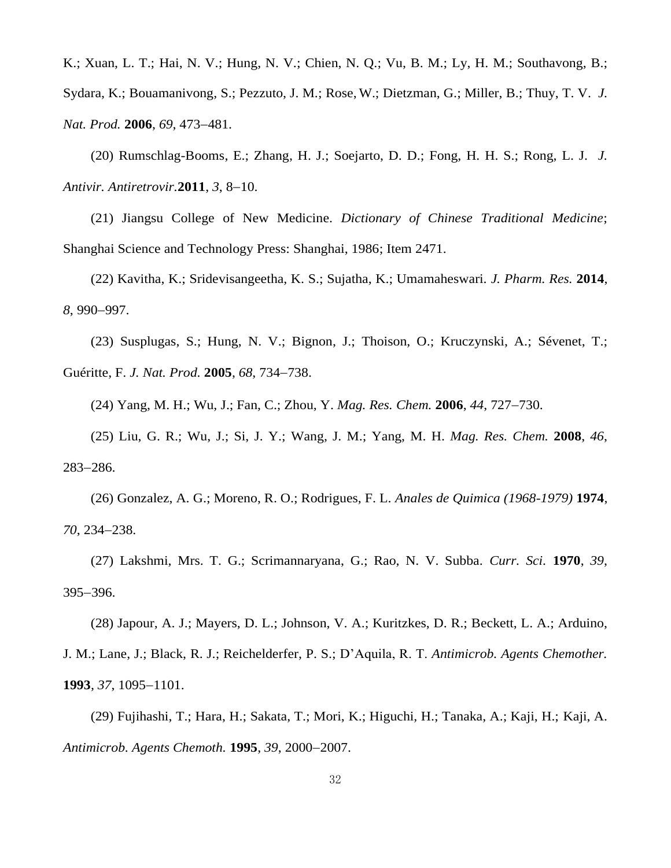K.; Xuan, L. T.; Hai, N. V.; Hung, N. V.; Chien, N. Q.; Vu, B. M.; Ly, H. M.; Southavong, B.; Sydara, K.; Bouamanivong, S.; Pezzuto, J. M.; Rose, W.; Dietzman, G.; Miller, B.; Thuy, T. V. *J. Nat. Prod.* 2006, 69, 473-481.

(20) Rumschlag-Booms, E.; Zhang, H. J.; Soejarto, D. D.; Fong, H. H. S.; Rong, L. J. *J. Antivir. Antiretrovir.* **2011**, 3, 8-10.

(21) Jiangsu College of New Medicine. *Dictionary of Chinese Traditional Medicine*; Shanghai Science and Technology Press: Shanghai, 1986; Item 2471.

(22) Kavitha, K.; Sridevisangeetha, K. S.; Sujatha, K.; Umamaheswari. *J. Pharm. Res.* **2014**, 8, 990–997.

(23) Susplugas, S.; Hung, N. V.; Bignon, J.; Thoison, O.; Kruczynski, A.; Sévenet, T.; Guéritte, F. *J. Nat. Prod.* **2005**, *68*, 734738.

(24) Yang, M. H.; Wu, J.; Fan, C.; Zhou, Y. *Mag. Res. Chem.* **2006**, 44, 727–730.

(25) Liu, G. R.; Wu, J.; Si, J. Y.; Wang, J. M.; Yang, M. H. *Mag. Res. Chem.* **2008**, *46*, 283-286.

(26) Gonzalez, A. G.; Moreno, R. O.; Rodrigues, F. L. *Anales de Quimica (1968-1979)* **1974**, *70*, 234–238.

(27) Lakshmi, Mrs. T. G.; Scrimannaryana, G.; Rao, N. V. Subba. *Curr. Sci.* **1970**, *39*, 395-396.

(28) Japour, A. J.; Mayers, D. L.; Johnson, V. A.; Kuritzkes, D. R.; Beckett, L. A.; Arduino, J. M.; Lane, J.; Black, R. J.; Reichelderfer, P. S.; D'Aquila, R. T. *Antimicrob. Agents Chemother.* **1993**, 37, 1095–1101.

(29) Fujihashi, T.; Hara, H.; Sakata, T.; Mori, K.; Higuchi, H.; Tanaka, A.; Kaji, H.; Kaji, A. *Antimicrob. Agents Chemoth.* **1995**, *39*, 2000–2007.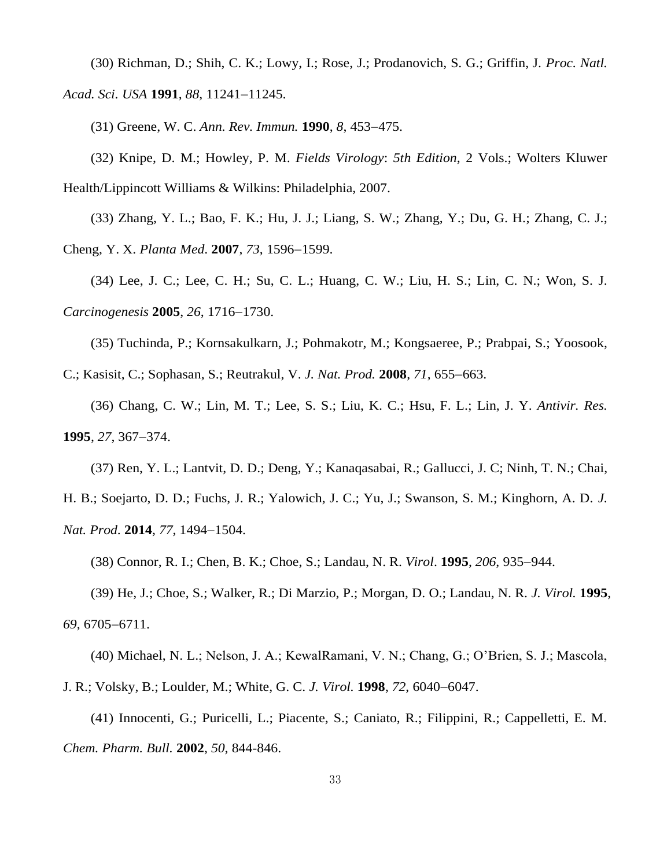(30) Richman, D.; Shih, C. K.; Lowy, I.; Rose, J.; Prodanovich, S. G.; Griffin, J. *Proc. Natl. Acad. Sci. USA* 1991, 88, 11241-11245.

(31) Greene, W. C. *Ann. Rev. Immun.* **1990**, *8*, 453-475.

(32) Knipe, D. M.; Howley, P. M. *Fields Virology*: *5th Edition*, 2 Vols.; Wolters Kluwer Health/Lippincott Williams & Wilkins: Philadelphia, 2007.

(33) Zhang, Y. L.; Bao, F. K.; Hu, J. J.; Liang, S. W.; Zhang, Y.; Du, G. H.; Zhang, C. J.; Cheng, Y. X. *Planta Med.* **2007**, 73, 1596-1599.

(34) Lee, J. C.; Lee, C. H.; Su, C. L.; Huang, C. W.; Liu, H. S.; Lin, C. N.; Won, S. J. *Carcinogenesis* **2005**, 26, 1716-1730.

(35) Tuchinda, P.; Kornsakulkarn, J.; Pohmakotr, M.; Kongsaeree, P.; Prabpai, S.; Yoosook,

C.; Kasisit, C.; Sophasan, S.; Reutrakul, V. *J. Nat. Prod.* 2008, 71, 655-663.

(36) Chang, C. W.; Lin, M. T.; Lee, S. S.; Liu, K. C.; Hsu, F. L.; Lin, J. Y. *Antivir. Res.* **1995**, 27, 367–374.

(37) Ren, Y. L.; Lantvit, D. D.; Deng, Y.; Kanaqasabai, R.; Gallucci, J. C; Ninh, T. N.; Chai,

H. B.; Soejarto, D. D.; Fuchs, J. R.; Yalowich, J. C.; Yu, J.; Swanson, S. M.; Kinghorn, A. D. *J. Nat. Prod.* 2014, 77, 1494-1504.

(38) Connor, R. I.; Chen, B. K.; Choe, S.; Landau, N. R. *Virol*. **1995**, 206, 935–944.

(39) He, J.; Choe, S.; Walker, R.; Di Marzio, P.; Morgan, D. O.; Landau, N. R. *J. Virol.* **1995**, 69, 6705-6711.

(40) Michael, N. L.; Nelson, J. A.; KewalRamani, V. N.; Chang, G.; O'Brien, S. J.; Mascola, J. R.; Volsky, B.; Loulder, M.; White, G. C. *J. Virol.* **1998**, 72, 6040-6047.

(41) Innocenti, G.; Puricelli, L.; Piacente, S.; Caniato, R.; Filippini, R.; Cappelletti, E. M. *Chem. Pharm. Bull.* **2002**, *50*, 844-846.